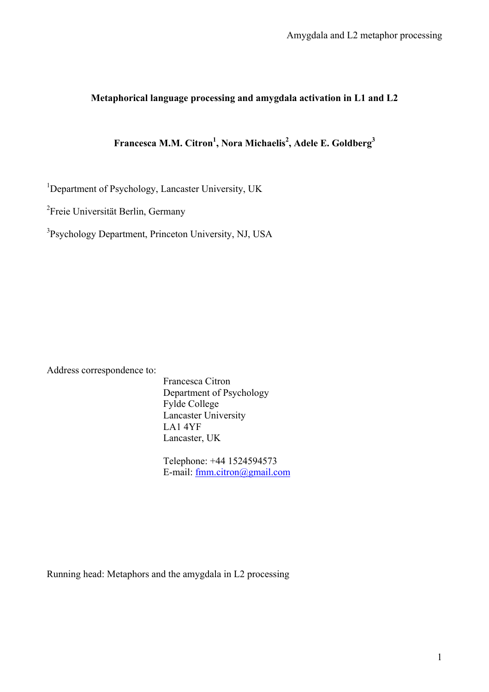# **Metaphorical language processing and amygdala activation in L1 and L2**

# **Francesca M.M. Citron<sup>1</sup> , Nora Michaelis<sup>2</sup> , Adele E. Goldberg<sup>3</sup>**

<sup>1</sup>Department of Psychology, Lancaster University, UK

<sup>2</sup>Freie Universität Berlin, Germany

<sup>3</sup>Psychology Department, Princeton University, NJ, USA

Address correspondence to:

Francesca Citron Department of Psychology Fylde College Lancaster University LA1 4YF Lancaster, UK

Telephone: +44 1524594573 E-mail: fmm.citron@gmail.com

Running head: Metaphors and the amygdala in L2 processing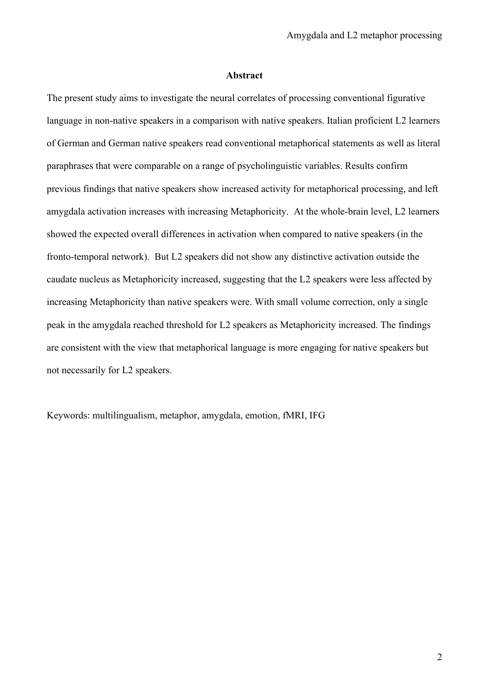#### **Abstract**

The present study aims to investigate the neural correlates of processing conventional figurative language in non-native speakers in a comparison with native speakers. Italian proficient L2 learners of German and German native speakers read conventional metaphorical statements as well as literal paraphrases that were comparable on a range of psycholinguistic variables. Results confirm previous findings that native speakers show increased activity for metaphorical processing, and left amygdala activation increases with increasing Metaphoricity. At the whole-brain level, L2 learners showed the expected overall differences in activation when compared to native speakers (in the fronto-temporal network). But L2 speakers did not show any distinctive activation outside the caudate nucleus as Metaphoricity increased, suggesting that the L2 speakers were less affected by increasing Metaphoricity than native speakers were. With small volume correction, only a single peak in the amygdala reached threshold for L2 speakers as Metaphoricity increased. The findings are consistent with the view that metaphorical language is more engaging for native speakers but not necessarily for L2 speakers.

Keywords: multilingualism, metaphor, amygdala, emotion, fMRI, IFG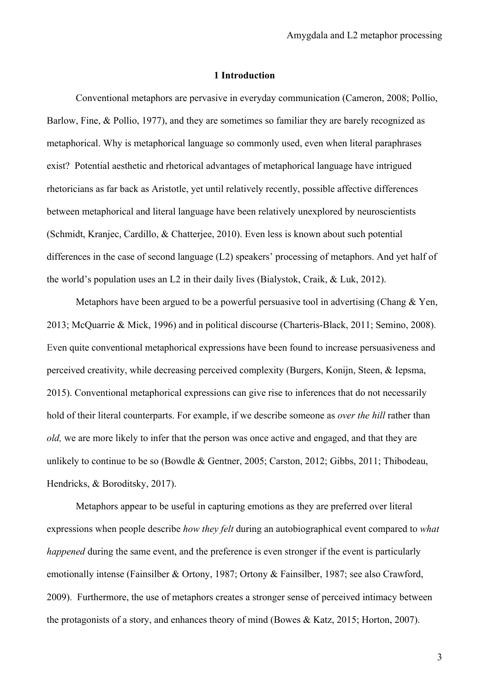#### **1 Introduction**

Conventional metaphors are pervasive in everyday communication (Cameron, 2008; Pollio, Barlow, Fine, & Pollio, 1977), and they are sometimes so familiar they are barely recognized as metaphorical. Why is metaphorical language so commonly used, even when literal paraphrases exist? Potential aesthetic and rhetorical advantages of metaphorical language have intrigued rhetoricians as far back as Aristotle, yet until relatively recently, possible affective differences between metaphorical and literal language have been relatively unexplored by neuroscientists (Schmidt, Kranjec, Cardillo, & Chatterjee, 2010). Even less is known about such potential differences in the case of second language (L2) speakers' processing of metaphors. And yet half of the world's population uses an L2 in their daily lives (Bialystok, Craik, & Luk, 2012).

Metaphors have been argued to be a powerful persuasive tool in advertising (Chang & Yen, 2013; McQuarrie & Mick, 1996) and in political discourse (Charteris-Black, 2011; Semino, 2008). Even quite conventional metaphorical expressions have been found to increase persuasiveness and perceived creativity, while decreasing perceived complexity (Burgers, Konijn, Steen, & Iepsma, 2015). Conventional metaphorical expressions can give rise to inferences that do not necessarily hold of their literal counterparts. For example, if we describe someone as *over the hill* rather than *old,* we are more likely to infer that the person was once active and engaged, and that they are unlikely to continue to be so (Bowdle & Gentner, 2005; Carston, 2012; Gibbs, 2011; Thibodeau, Hendricks, & Boroditsky, 2017).

Metaphors appear to be useful in capturing emotions as they are preferred over literal expressions when people describe *how they felt* during an autobiographical event compared to *what happened* during the same event, and the preference is even stronger if the event is particularly emotionally intense (Fainsilber & Ortony, 1987; Ortony & Fainsilber, 1987; see also Crawford, 2009). Furthermore, the use of metaphors creates a stronger sense of perceived intimacy between the protagonists of a story, and enhances theory of mind (Bowes & Katz, 2015; Horton, 2007).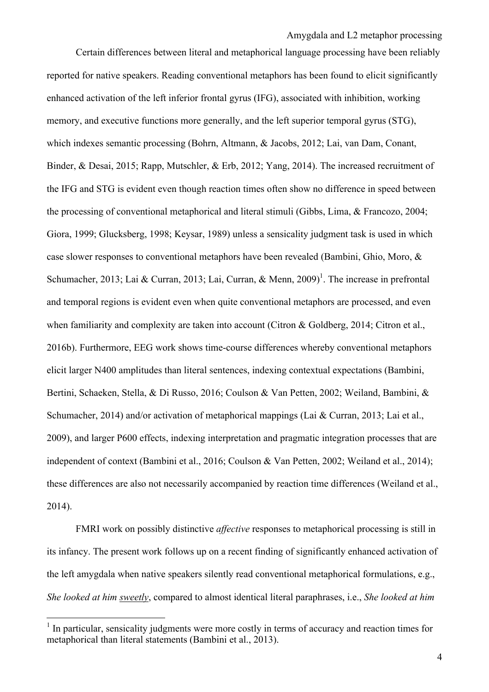Certain differences between literal and metaphorical language processing have been reliably reported for native speakers. Reading conventional metaphors has been found to elicit significantly enhanced activation of the left inferior frontal gyrus (IFG), associated with inhibition, working memory, and executive functions more generally, and the left superior temporal gyrus (STG), which indexes semantic processing (Bohrn, Altmann, & Jacobs, 2012; Lai, van Dam, Conant, Binder, & Desai, 2015; Rapp, Mutschler, & Erb, 2012; Yang, 2014). The increased recruitment of the IFG and STG is evident even though reaction times often show no difference in speed between the processing of conventional metaphorical and literal stimuli (Gibbs, Lima, & Francozo, 2004; Giora, 1999; Glucksberg, 1998; Keysar, 1989) unless a sensicality judgment task is used in which case slower responses to conventional metaphors have been revealed (Bambini, Ghio, Moro, & Schumacher, 2013; Lai & Curran, 2013; Lai, Curran, & Menn, 2009)<sup>1</sup>. The increase in prefrontal and temporal regions is evident even when quite conventional metaphors are processed, and even when familiarity and complexity are taken into account (Citron & Goldberg, 2014; Citron et al., 2016b). Furthermore, EEG work shows time-course differences whereby conventional metaphors elicit larger N400 amplitudes than literal sentences, indexing contextual expectations (Bambini, Bertini, Schaeken, Stella, & Di Russo, 2016; Coulson & Van Petten, 2002; Weiland, Bambini, & Schumacher, 2014) and/or activation of metaphorical mappings (Lai & Curran, 2013; Lai et al., 2009), and larger P600 effects, indexing interpretation and pragmatic integration processes that are independent of context (Bambini et al., 2016; Coulson & Van Petten, 2002; Weiland et al., 2014); these differences are also not necessarily accompanied by reaction time differences (Weiland et al., 2014).

FMRI work on possibly distinctive *affective* responses to metaphorical processing is still in its infancy. The present work follows up on a recent finding of significantly enhanced activation of the left amygdala when native speakers silently read conventional metaphorical formulations, e.g., *She looked at him sweetly*, compared to almost identical literal paraphrases, i.e., *She looked at him* 

 $1$  In particular, sensicality judgments were more costly in terms of accuracy and reaction times for metaphorical than literal statements (Bambini et al., 2013).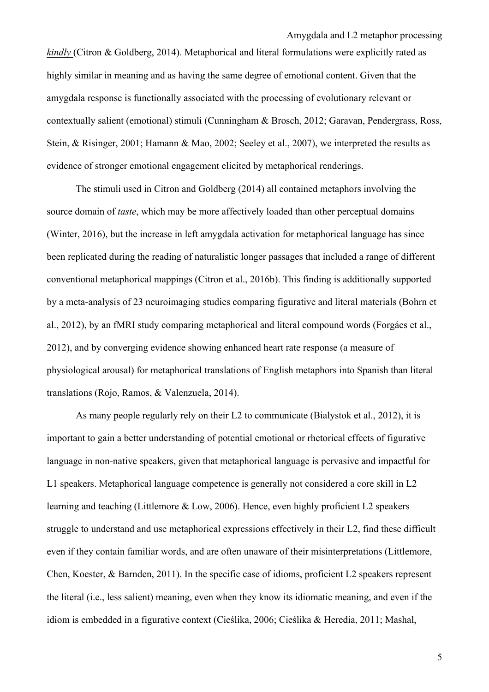*kindly* (Citron & Goldberg, 2014). Metaphorical and literal formulations were explicitly rated as highly similar in meaning and as having the same degree of emotional content. Given that the amygdala response is functionally associated with the processing of evolutionary relevant or contextually salient (emotional) stimuli (Cunningham & Brosch, 2012; Garavan, Pendergrass, Ross, Stein, & Risinger, 2001; Hamann & Mao, 2002; Seeley et al., 2007), we interpreted the results as evidence of stronger emotional engagement elicited by metaphorical renderings.

The stimuli used in Citron and Goldberg (2014) all contained metaphors involving the source domain of *taste*, which may be more affectively loaded than other perceptual domains (Winter, 2016), but the increase in left amygdala activation for metaphorical language has since been replicated during the reading of naturalistic longer passages that included a range of different conventional metaphorical mappings (Citron et al., 2016b). This finding is additionally supported by a meta-analysis of 23 neuroimaging studies comparing figurative and literal materials (Bohrn et al., 2012), by an fMRI study comparing metaphorical and literal compound words (Forgács et al., 2012), and by converging evidence showing enhanced heart rate response (a measure of physiological arousal) for metaphorical translations of English metaphors into Spanish than literal translations (Rojo, Ramos, & Valenzuela, 2014).

As many people regularly rely on their L2 to communicate (Bialystok et al., 2012), it is important to gain a better understanding of potential emotional or rhetorical effects of figurative language in non-native speakers, given that metaphorical language is pervasive and impactful for L1 speakers. Metaphorical language competence is generally not considered a core skill in L2 learning and teaching (Littlemore & Low, 2006). Hence, even highly proficient L2 speakers struggle to understand and use metaphorical expressions effectively in their L2, find these difficult even if they contain familiar words, and are often unaware of their misinterpretations (Littlemore, Chen, Koester, & Barnden, 2011). In the specific case of idioms, proficient L2 speakers represent the literal (i.e., less salient) meaning, even when they know its idiomatic meaning, and even if the idiom is embedded in a figurative context (Cieślika, 2006; Cieślika & Heredia, 2011; Mashal,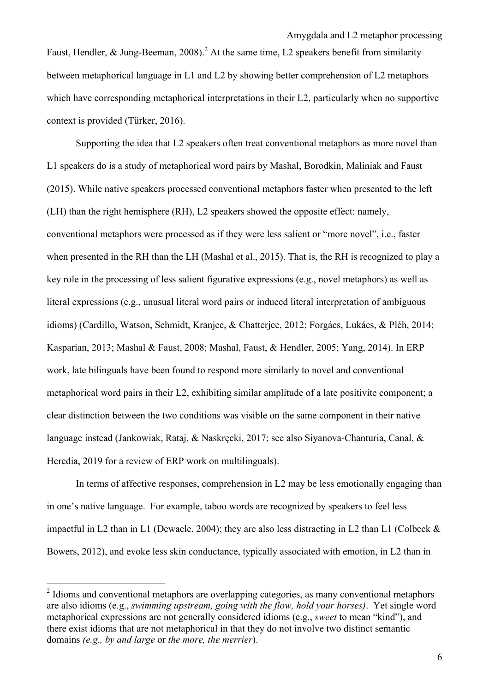Faust, Hendler, & Jung-Beeman, 2008).<sup>2</sup> At the same time, L2 speakers benefit from similarity between metaphorical language in L1 and L2 by showing better comprehension of L2 metaphors which have corresponding metaphorical interpretations in their L2, particularly when no supportive context is provided (Türker, 2016).

Supporting the idea that L2 speakers often treat conventional metaphors as more novel than L1 speakers do is a study of metaphorical word pairs by Mashal, Borodkin, Maliniak and Faust (2015). While native speakers processed conventional metaphors faster when presented to the left (LH) than the right hemisphere (RH), L2 speakers showed the opposite effect: namely, conventional metaphors were processed as if they were less salient or "more novel", i.e., faster when presented in the RH than the LH (Mashal et al., 2015). That is, the RH is recognized to play a key role in the processing of less salient figurative expressions (e.g., novel metaphors) as well as literal expressions (e.g., unusual literal word pairs or induced literal interpretation of ambiguous idioms) (Cardillo, Watson, Schmidt, Kranjec, & Chatterjee, 2012; Forgács, Lukács, & Pléh, 2014; Kasparian, 2013; Mashal & Faust, 2008; Mashal, Faust, & Hendler, 2005; Yang, 2014). In ERP work, late bilinguals have been found to respond more similarly to novel and conventional metaphorical word pairs in their L2, exhibiting similar amplitude of a late positivite component; a clear distinction between the two conditions was visible on the same component in their native language instead (Jankowiak, Rataj, & Naskręcki, 2017; see also Siyanova-Chanturia, Canal, & Heredia, 2019 for a review of ERP work on multilinguals).

In terms of affective responses, comprehension in L2 may be less emotionally engaging than in one's native language. For example, taboo words are recognized by speakers to feel less impactful in L2 than in L1 (Dewaele, 2004); they are also less distracting in L2 than L1 (Colbeck & Bowers, 2012), and evoke less skin conductance, typically associated with emotion, in L2 than in

 $2$  Idioms and conventional metaphors are overlapping categories, as many conventional metaphors are also idioms (e.g., *swimming upstream, going with the flow, hold your horses)*. Yet single word metaphorical expressions are not generally considered idioms (e.g., *sweet* to mean "kind"), and there exist idioms that are not metaphorical in that they do not involve two distinct semantic domains *(e.g., by and large* or *the more, the merrier*).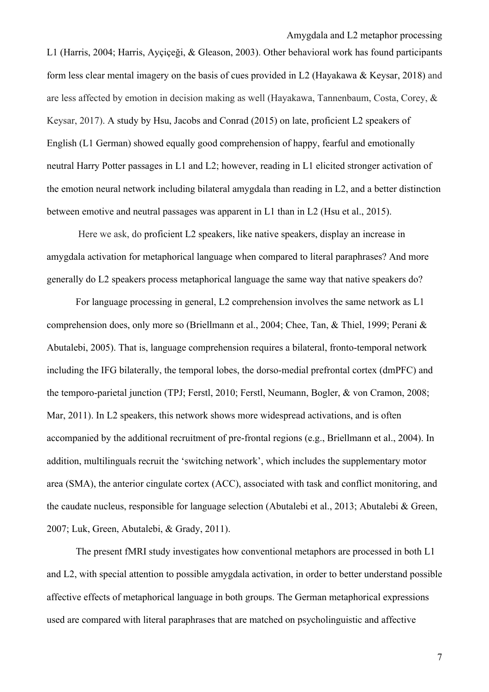L1 (Harris, 2004; Harris, Ayçiçeği, & Gleason, 2003). Other behavioral work has found participants form less clear mental imagery on the basis of cues provided in L2 (Hayakawa & Keysar, 2018) and are less affected by emotion in decision making as well (Hayakawa, Tannenbaum, Costa, Corey, & Keysar, 2017). A study by Hsu, Jacobs and Conrad (2015) on late, proficient L2 speakers of English (L1 German) showed equally good comprehension of happy, fearful and emotionally neutral Harry Potter passages in L1 and L2; however, reading in L1 elicited stronger activation of the emotion neural network including bilateral amygdala than reading in L2, and a better distinction between emotive and neutral passages was apparent in L1 than in L2 (Hsu et al., 2015).

Here we ask, do proficient L2 speakers, like native speakers, display an increase in amygdala activation for metaphorical language when compared to literal paraphrases? And more generally do L2 speakers process metaphorical language the same way that native speakers do?

For language processing in general, L2 comprehension involves the same network as L1 comprehension does, only more so (Briellmann et al., 2004; Chee, Tan, & Thiel, 1999; Perani & Abutalebi, 2005). That is, language comprehension requires a bilateral, fronto-temporal network including the IFG bilaterally, the temporal lobes, the dorso-medial prefrontal cortex (dmPFC) and the temporo-parietal junction (TPJ; Ferstl, 2010; Ferstl, Neumann, Bogler, & von Cramon, 2008; Mar, 2011). In L2 speakers, this network shows more widespread activations, and is often accompanied by the additional recruitment of pre-frontal regions (e.g., Briellmann et al., 2004). In addition, multilinguals recruit the 'switching network', which includes the supplementary motor area (SMA), the anterior cingulate cortex (ACC), associated with task and conflict monitoring, and the caudate nucleus, responsible for language selection (Abutalebi et al., 2013; Abutalebi & Green, 2007; Luk, Green, Abutalebi, & Grady, 2011).

The present fMRI study investigates how conventional metaphors are processed in both L1 and L2, with special attention to possible amygdala activation, in order to better understand possible affective effects of metaphorical language in both groups. The German metaphorical expressions used are compared with literal paraphrases that are matched on psycholinguistic and affective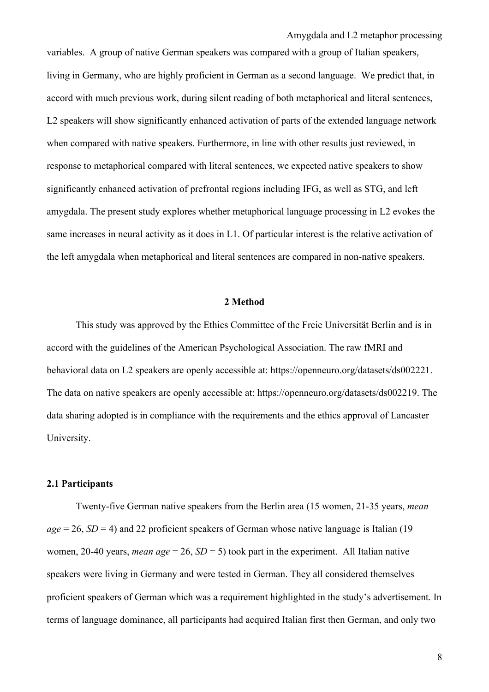variables. A group of native German speakers was compared with a group of Italian speakers, living in Germany, who are highly proficient in German as a second language. We predict that, in accord with much previous work, during silent reading of both metaphorical and literal sentences, L2 speakers will show significantly enhanced activation of parts of the extended language network when compared with native speakers. Furthermore, in line with other results just reviewed, in response to metaphorical compared with literal sentences, we expected native speakers to show significantly enhanced activation of prefrontal regions including IFG, as well as STG, and left amygdala. The present study explores whether metaphorical language processing in L2 evokes the same increases in neural activity as it does in L1. Of particular interest is the relative activation of the left amygdala when metaphorical and literal sentences are compared in non-native speakers.

## **2 Method**

This study was approved by the Ethics Committee of the Freie Universität Berlin and is in accord with the guidelines of the American Psychological Association. The raw fMRI and behavioral data on L2 speakers are openly accessible at: https://openneuro.org/datasets/ds002221. The data on native speakers are openly accessible at: https://openneuro.org/datasets/ds002219. The data sharing adopted is in compliance with the requirements and the ethics approval of Lancaster University.

## **2.1 Participants**

Twenty-five German native speakers from the Berlin area (15 women, 21-35 years, *mean*   $age = 26$ ,  $SD = 4$ ) and 22 proficient speakers of German whose native language is Italian (19) women, 20-40 years, *mean age* = 26,  $SD = 5$ ) took part in the experiment. All Italian native speakers were living in Germany and were tested in German. They all considered themselves proficient speakers of German which was a requirement highlighted in the study's advertisement. In terms of language dominance, all participants had acquired Italian first then German, and only two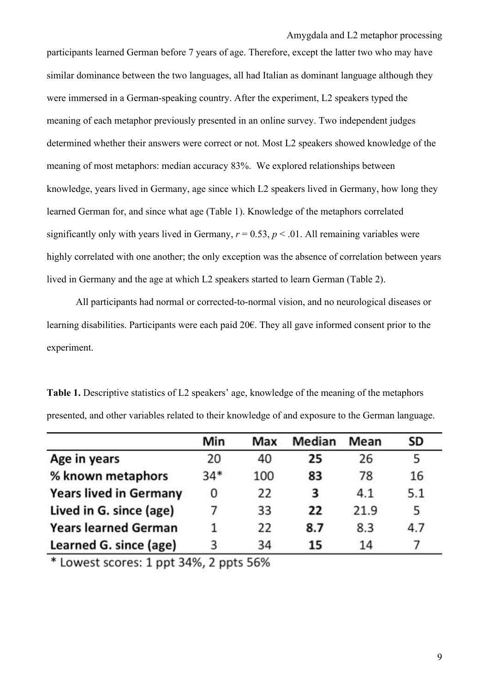participants learned German before 7 years of age. Therefore, except the latter two who may have similar dominance between the two languages, all had Italian as dominant language although they were immersed in a German-speaking country. After the experiment, L2 speakers typed the meaning of each metaphor previously presented in an online survey. Two independent judges determined whether their answers were correct or not. Most L2 speakers showed knowledge of the meaning of most metaphors: median accuracy 83%. We explored relationships between knowledge, years lived in Germany, age since which L2 speakers lived in Germany, how long they learned German for, and since what age (Table 1). Knowledge of the metaphors correlated significantly only with years lived in Germany,  $r = 0.53$ ,  $p < 0.01$ . All remaining variables were highly correlated with one another; the only exception was the absence of correlation between years lived in Germany and the age at which L2 speakers started to learn German (Table 2).

All participants had normal or corrected-to-normal vision, and no neurological diseases or learning disabilities. Participants were each paid 20€. They all gave informed consent prior to the experiment.

|                               | Min   | Max | Median | Mean | SD  |
|-------------------------------|-------|-----|--------|------|-----|
| Age in years                  | 20    | 40  | 25     | 26   |     |
| % known metaphors             | $34*$ | 100 | 83     | 78   | 16  |
| <b>Years lived in Germany</b> | 0     | 22  | 3      | 4.1  | 5.1 |
| Lived in G. since (age)       |       | 33  | 22     | 21.9 | 5   |
| <b>Years learned German</b>   |       | 22  | 8.7    | 8.3  | 4.7 |
| Learned G. since (age)        | 3     | 34  | 15     | 14   |     |

**Table 1.** Descriptive statistics of L2 speakers' age, knowledge of the meaning of the metaphors presented, and other variables related to their knowledge of and exposure to the German language.

\* Lowest scores: 1 ppt 34%, 2 ppts 56%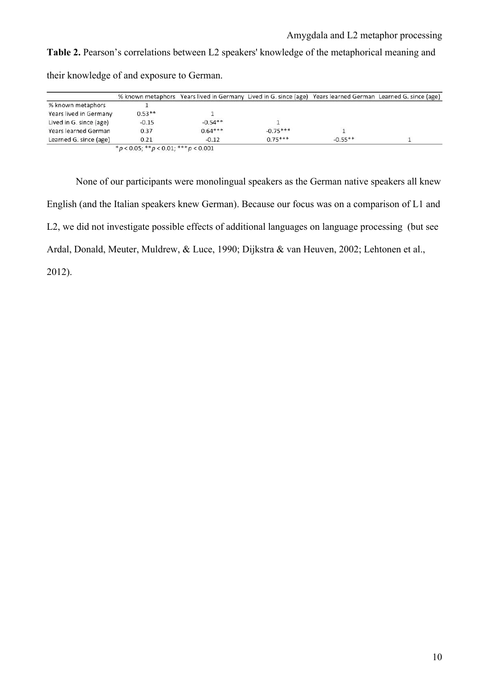**Table 2.** Pearson's correlations between L2 speakers' knowledge of the metaphorical meaning and their knowledge of and exposure to German.

|                         |                                     | % known metaphors Years lived in Germany Lived in G. since (age) Years learned German Learned G. since (age) |            |           |  |
|-------------------------|-------------------------------------|--------------------------------------------------------------------------------------------------------------|------------|-----------|--|
| % known metaphors       |                                     |                                                                                                              |            |           |  |
| Years lived in Germany  | $0.53**$                            |                                                                                                              |            |           |  |
| Lived in G. since (age) | $-0.15$                             | $-0.54**$                                                                                                    |            |           |  |
| Years learned German    | 0.37                                | $0.64***$                                                                                                    | $-0.75***$ |           |  |
| Learned G. since (age)  | 0.21                                | $-0.12$                                                                                                      | $0.75***$  | $-0.55**$ |  |
|                         | *p < 0.05; **p < 0.01; ***p < 0.001 |                                                                                                              |            |           |  |

None of our participants were monolingual speakers as the German native speakers all knew English (and the Italian speakers knew German). Because our focus was on a comparison of L1 and L2, we did not investigate possible effects of additional languages on language processing (but see Ardal, Donald, Meuter, Muldrew, & Luce, 1990; Dijkstra & van Heuven, 2002; Lehtonen et al., 2012).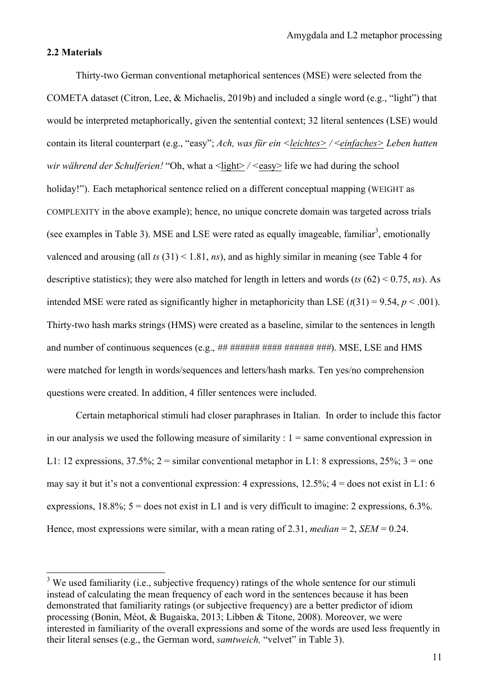#### **2.2 Materials**

Thirty-two German conventional metaphorical sentences (MSE) were selected from the COMETA dataset (Citron, Lee, & Michaelis, 2019b) and included a single word (e.g., "light") that would be interpreted metaphorically, given the sentential context; 32 literal sentences (LSE) would contain its literal counterpart (e.g., "easy"; *Ach, was für ein <leichtes> /* <*einfaches> Leben hatten wir während der Schulferien!* "Oh, what a <light> / <easy> life we had during the school holiday!"). Each metaphorical sentence relied on a different conceptual mapping (WEIGHT as COMPLEXITY in the above example); hence, no unique concrete domain was targeted across trials (see examples in Table 3). MSE and LSE were rated as equally imageable, familiar<sup>3</sup>, emotionally valenced and arousing (all *ts* (31) < 1.81, *ns*), and as highly similar in meaning (see Table 4 for descriptive statistics); they were also matched for length in letters and words (*ts* (62) < 0.75, *ns*). As intended MSE were rated as significantly higher in metaphoricity than LSE  $(t(31) = 9.54, p < .001)$ . Thirty-two hash marks strings (HMS) were created as a baseline, similar to the sentences in length and number of continuous sequences (e.g., *## ###### #### ###### ###*). MSE, LSE and HMS were matched for length in words/sequences and letters/hash marks. Ten yes/no comprehension questions were created. In addition, 4 filler sentences were included.

Certain metaphorical stimuli had closer paraphrases in Italian. In order to include this factor in our analysis we used the following measure of similarity  $: 1 =$  same conventional expression in L1: 12 expressions,  $37.5\%$ ;  $2 =$  similar conventional metaphor in L1: 8 expressions,  $25\%$ ;  $3 =$  one may say it but it's not a conventional expression: 4 expressions,  $12.5\%$ ;  $4 =$  does not exist in L1: 6 expressions,  $18.8\%$ ;  $5 =$  does not exist in L1 and is very difficult to imagine: 2 expressions, 6.3%. Hence, most expressions were similar, with a mean rating of 2.31, *median* = 2, *SEM* = 0.24.

 $3$  We used familiarity (i.e., subjective frequency) ratings of the whole sentence for our stimuli instead of calculating the mean frequency of each word in the sentences because it has been demonstrated that familiarity ratings (or subjective frequency) are a better predictor of idiom processing (Bonin, Méot, & Bugaiska, 2013; Libben & Titone, 2008). Moreover, we were interested in familiarity of the overall expressions and some of the words are used less frequently in their literal senses (e.g., the German word, *samtweich,* "velvet" in Table 3).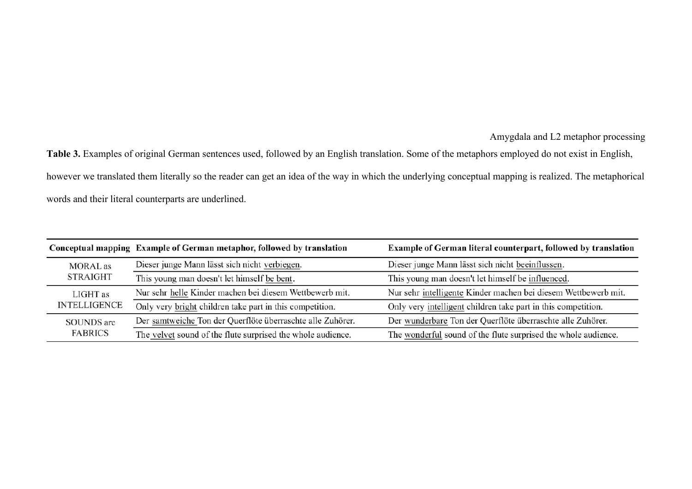**Table 3.** Examples of original German sentences used, followed by an English translation. Some of the metaphors employed do not exist in English, however we translated them literally so the reader can get an idea of the way in which the underlying conceptual mapping is realized. The metaphorical words and their literal counterparts are underlined.

|                     | Conceptual mapping Example of German metaphor, followed by translation | Example of German literal counterpart, followed by translation |
|---------------------|------------------------------------------------------------------------|----------------------------------------------------------------|
| <b>MORAL</b> as     | Dieser junge Mann lässt sich nicht verbiegen.                          | Dieser junge Mann lässt sich nicht beeinflussen.               |
| <b>STRAIGHT</b>     | This young man doesn't let himself be bent.                            | This young man doesn't let himself be influenced.              |
| LIGHT as            | Nur sehr helle Kinder machen bei diesem Wettbewerb mit.                | Nur sehr intelligente Kinder machen bei diesem Wettbewerb mit. |
| <b>INTELLIGENCE</b> | Only very bright children take part in this competition.               | Only very intelligent children take part in this competition.  |
| <b>SOUNDS</b> are   | Der samtweiche Ton der Querflöte überraschte alle Zuhörer.             | Der wunderbare Ton der Querflöte überraschte alle Zuhörer.     |
| <b>FABRICS</b>      | The velvet sound of the flute surprised the whole audience.            | The wonderful sound of the flute surprised the whole audience. |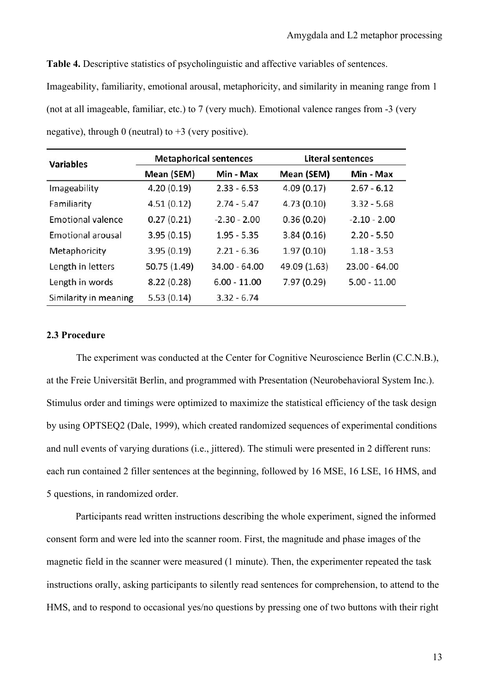**Table 4.** Descriptive statistics of psycholinguistic and affective variables of sentences. Imageability, familiarity, emotional arousal, metaphoricity, and similarity in meaning range from 1 (not at all imageable, familiar, etc.) to 7 (very much). Emotional valence ranges from -3 (very negative), through 0 (neutral) to  $+3$  (very positive).

| <b>Variables</b>         |              | <b>Metaphorical sentences</b> | <b>Literal sentences</b> |                 |  |
|--------------------------|--------------|-------------------------------|--------------------------|-----------------|--|
|                          | Mean (SEM)   | Min - Max                     | Mean (SEM)               | Min - Max       |  |
| Imageability             | 4.20(0.19)   | $2.33 - 6.53$                 | 4.09(0.17)               | $2.67 - 6.12$   |  |
| Familiarity              | 4.51(0.12)   | $2.74 - 5.47$                 | 4.73(0.10)               | $3.32 - 5.68$   |  |
| <b>Emotional valence</b> | 0.27(0.21)   | $-2.30 - 2.00$                | 0.36(0.20)               | $-2.10 - 2.00$  |  |
| <b>Emotional arousal</b> | 3.95(0.15)   | $1.95 - 5.35$                 | 3.84(0.16)               | $2.20 - 5.50$   |  |
| Metaphoricity            | 3.95(0.19)   | $2.21 - 6.36$                 | 1.97(0.10)               | $1.18 - 3.53$   |  |
| Length in letters        | 50.75 (1.49) | $34.00 - 64.00$               | 49.09 (1.63)             | $23.00 - 64.00$ |  |
| Length in words          | 8.22(0.28)   | $6.00 - 11.00$                | 7.97(0.29)               | $5.00 - 11.00$  |  |
| Similarity in meaning    | 5.53(0.14)   | $3.32 - 6.74$                 |                          |                 |  |

#### **2.3 Procedure**

The experiment was conducted at the Center for Cognitive Neuroscience Berlin (C.C.N.B.), at the Freie Universität Berlin, and programmed with Presentation (Neurobehavioral System Inc.). Stimulus order and timings were optimized to maximize the statistical efficiency of the task design by using OPTSEQ2 (Dale, 1999), which created randomized sequences of experimental conditions and null events of varying durations (i.e., jittered). The stimuli were presented in 2 different runs: each run contained 2 filler sentences at the beginning, followed by 16 MSE, 16 LSE, 16 HMS, and 5 questions, in randomized order.

Participants read written instructions describing the whole experiment, signed the informed consent form and were led into the scanner room. First, the magnitude and phase images of the magnetic field in the scanner were measured (1 minute). Then, the experimenter repeated the task instructions orally, asking participants to silently read sentences for comprehension, to attend to the HMS, and to respond to occasional yes/no questions by pressing one of two buttons with their right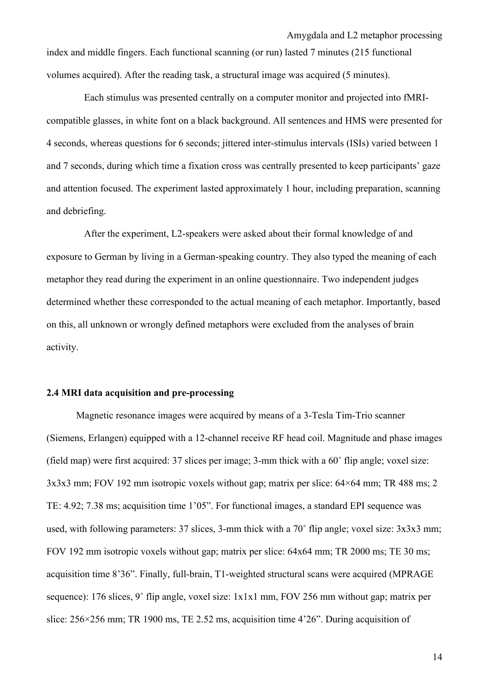index and middle fingers. Each functional scanning (or run) lasted 7 minutes (215 functional volumes acquired). After the reading task, a structural image was acquired (5 minutes).

Each stimulus was presented centrally on a computer monitor and projected into fMRIcompatible glasses, in white font on a black background. All sentences and HMS were presented for 4 seconds, whereas questions for 6 seconds; jittered inter-stimulus intervals (ISIs) varied between 1 and 7 seconds, during which time a fixation cross was centrally presented to keep participants' gaze and attention focused. The experiment lasted approximately 1 hour, including preparation, scanning and debriefing.

After the experiment, L2-speakers were asked about their formal knowledge of and exposure to German by living in a German-speaking country. They also typed the meaning of each metaphor they read during the experiment in an online questionnaire. Two independent judges determined whether these corresponded to the actual meaning of each metaphor. Importantly, based on this, all unknown or wrongly defined metaphors were excluded from the analyses of brain activity.

## **2.4 MRI data acquisition and pre-processing**

Magnetic resonance images were acquired by means of a 3-Tesla Tim-Trio scanner (Siemens, Erlangen) equipped with a 12-channel receive RF head coil. Magnitude and phase images (field map) were first acquired: 37 slices per image; 3-mm thick with a 60˚ flip angle; voxel size: 3x3x3 mm; FOV 192 mm isotropic voxels without gap; matrix per slice: 64×64 mm; TR 488 ms; 2 TE: 4.92; 7.38 ms; acquisition time 1'05". For functional images, a standard EPI sequence was used, with following parameters: 37 slices, 3-mm thick with a 70˚ flip angle; voxel size: 3x3x3 mm; FOV 192 mm isotropic voxels without gap; matrix per slice: 64x64 mm; TR 2000 ms; TE 30 ms; acquisition time 8'36". Finally, full-brain, T1-weighted structural scans were acquired (MPRAGE sequence): 176 slices, 9° flip angle, voxel size: 1x1x1 mm, FOV 256 mm without gap; matrix per slice: 256×256 mm; TR 1900 ms, TE 2.52 ms, acquisition time 4'26". During acquisition of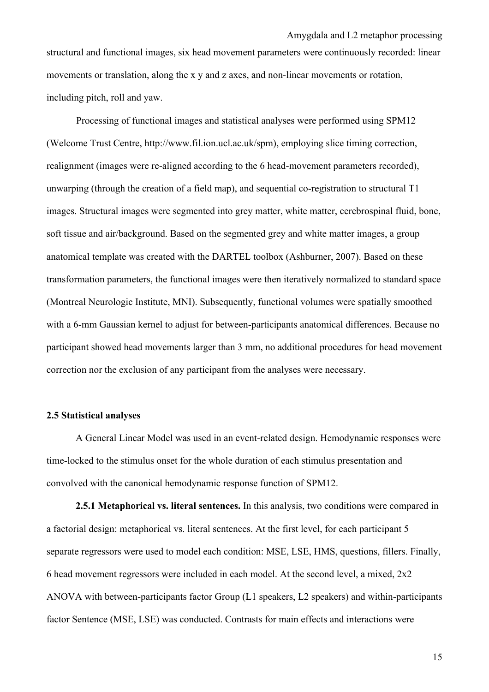Amygdala and L2 metaphor processing structural and functional images, six head movement parameters were continuously recorded: linear movements or translation, along the x y and z axes, and non-linear movements or rotation,

including pitch, roll and yaw.

Processing of functional images and statistical analyses were performed using SPM12 (Welcome Trust Centre, http://www.fil.ion.ucl.ac.uk/spm), employing slice timing correction, realignment (images were re-aligned according to the 6 head-movement parameters recorded), unwarping (through the creation of a field map), and sequential co-registration to structural T1 images. Structural images were segmented into grey matter, white matter, cerebrospinal fluid, bone, soft tissue and air/background. Based on the segmented grey and white matter images, a group anatomical template was created with the DARTEL toolbox (Ashburner, 2007). Based on these transformation parameters, the functional images were then iteratively normalized to standard space (Montreal Neurologic Institute, MNI). Subsequently, functional volumes were spatially smoothed with a 6-mm Gaussian kernel to adjust for between-participants anatomical differences. Because no participant showed head movements larger than 3 mm, no additional procedures for head movement correction nor the exclusion of any participant from the analyses were necessary.

#### **2.5 Statistical analyses**

A General Linear Model was used in an event-related design. Hemodynamic responses were time-locked to the stimulus onset for the whole duration of each stimulus presentation and convolved with the canonical hemodynamic response function of SPM12.

**2.5.1 Metaphorical vs. literal sentences.** In this analysis, two conditions were compared in a factorial design: metaphorical vs. literal sentences. At the first level, for each participant 5 separate regressors were used to model each condition: MSE, LSE, HMS, questions, fillers. Finally, 6 head movement regressors were included in each model. At the second level, a mixed, 2x2 ANOVA with between-participants factor Group (L1 speakers, L2 speakers) and within-participants factor Sentence (MSE, LSE) was conducted. Contrasts for main effects and interactions were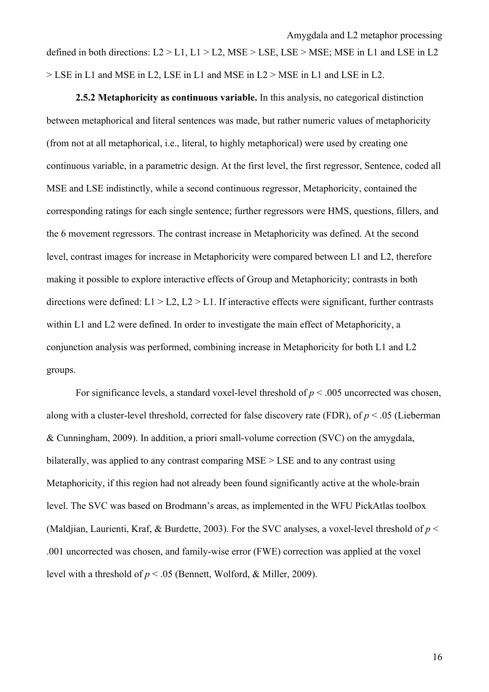defined in both directions:  $L2 > L1$ ,  $L1 > L2$ ,  $MSE > LSE$ ,  $LSE > MSE$ ;  $MSE$  in L1 and LSE in L2 > LSE in L1 and MSE in L2, LSE in L1 and MSE in L2 > MSE in L1 and LSE in L2.

Amygdala and L2 metaphor processing

**2.5.2 Metaphoricity as continuous variable.** In this analysis, no categorical distinction between metaphorical and literal sentences was made, but rather numeric values of metaphoricity (from not at all metaphorical, i.e., literal, to highly metaphorical) were used by creating one continuous variable, in a parametric design. At the first level, the first regressor, Sentence, coded all MSE and LSE indistinctly, while a second continuous regressor, Metaphoricity, contained the corresponding ratings for each single sentence; further regressors were HMS, questions, fillers, and the 6 movement regressors. The contrast increase in Metaphoricity was defined. At the second level, contrast images for increase in Metaphoricity were compared between L1 and L2, therefore making it possible to explore interactive effects of Group and Metaphoricity; contrasts in both directions were defined:  $L1 > L2$ ,  $L2 > L1$ . If interactive effects were significant, further contrasts within L1 and L2 were defined. In order to investigate the main effect of Metaphoricity, a conjunction analysis was performed, combining increase in Metaphoricity for both L1 and L2 groups.

For significance levels, a standard voxel-level threshold of  $p < .005$  uncorrected was chosen, along with a cluster-level threshold, corrected for false discovery rate (FDR), of *p* < .05 (Lieberman & Cunningham, 2009). In addition, a priori small-volume correction (SVC) on the amygdala, bilaterally, was applied to any contrast comparing MSE > LSE and to any contrast using Metaphoricity, if this region had not already been found significantly active at the whole-brain level. The SVC was based on Brodmann's areas, as implemented in the WFU PickAtlas toolbox (Maldjian, Laurienti, Kraf, & Burdette, 2003). For the SVC analyses, a voxel-level threshold of *p* < .001 uncorrected was chosen, and family-wise error (FWE) correction was applied at the voxel level with a threshold of  $p < .05$  (Bennett, Wolford, & Miller, 2009).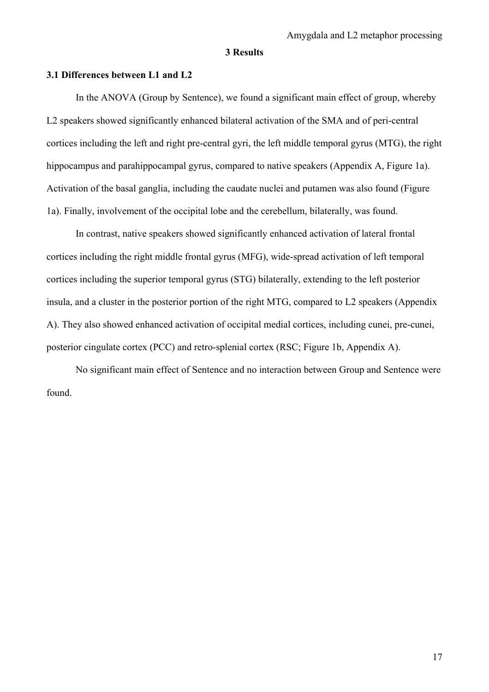## **3 Results**

#### **3.1 Differences between L1 and L2**

In the ANOVA (Group by Sentence), we found a significant main effect of group, whereby L2 speakers showed significantly enhanced bilateral activation of the SMA and of peri-central cortices including the left and right pre-central gyri, the left middle temporal gyrus (MTG), the right hippocampus and parahippocampal gyrus, compared to native speakers (Appendix A, Figure 1a). Activation of the basal ganglia, including the caudate nuclei and putamen was also found (Figure 1a). Finally, involvement of the occipital lobe and the cerebellum, bilaterally, was found.

In contrast, native speakers showed significantly enhanced activation of lateral frontal cortices including the right middle frontal gyrus (MFG), wide-spread activation of left temporal cortices including the superior temporal gyrus (STG) bilaterally, extending to the left posterior insula, and a cluster in the posterior portion of the right MTG, compared to L2 speakers (Appendix A). They also showed enhanced activation of occipital medial cortices, including cunei, pre-cunei, posterior cingulate cortex (PCC) and retro-splenial cortex (RSC; Figure 1b, Appendix A).

No significant main effect of Sentence and no interaction between Group and Sentence were found.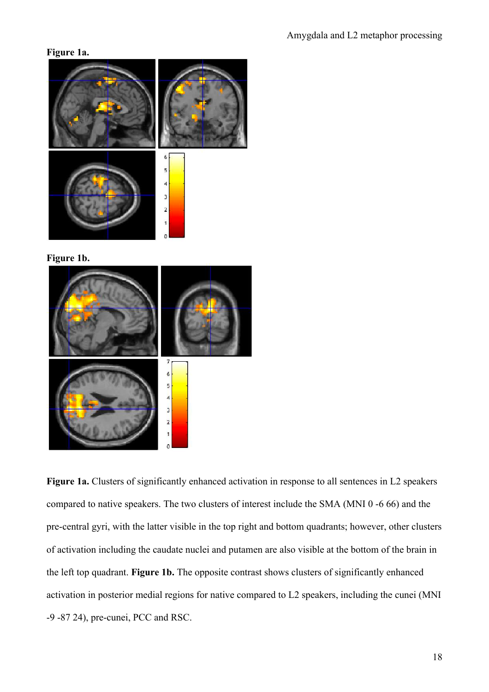## **Figure 1a.**



**Figure 1b.**



**Figure 1a.** Clusters of significantly enhanced activation in response to all sentences in L2 speakers compared to native speakers. The two clusters of interest include the SMA (MNI 0 -6 66) and the pre-central gyri, with the latter visible in the top right and bottom quadrants; however, other clusters of activation including the caudate nuclei and putamen are also visible at the bottom of the brain in the left top quadrant. **Figure 1b.** The opposite contrast shows clusters of significantly enhanced activation in posterior medial regions for native compared to L2 speakers, including the cunei (MNI -9 -87 24), pre-cunei, PCC and RSC.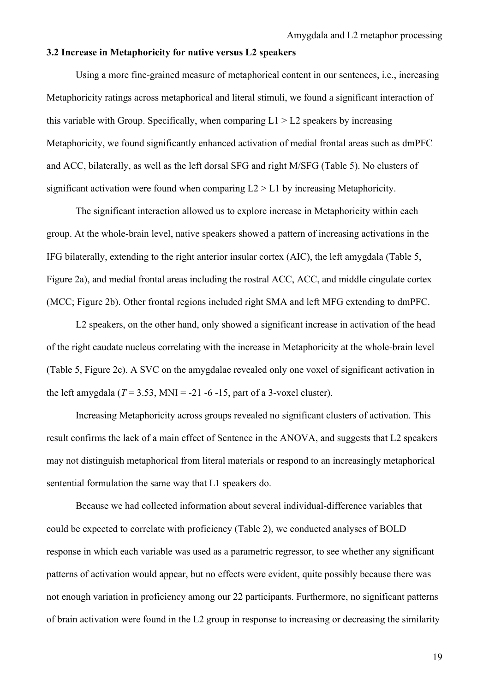### **3.2 Increase in Metaphoricity for native versus L2 speakers**

Using a more fine-grained measure of metaphorical content in our sentences, i.e., increasing Metaphoricity ratings across metaphorical and literal stimuli, we found a significant interaction of this variable with Group. Specifically, when comparing  $L1 > L2$  speakers by increasing Metaphoricity, we found significantly enhanced activation of medial frontal areas such as dmPFC and ACC, bilaterally, as well as the left dorsal SFG and right M/SFG (Table 5). No clusters of significant activation were found when comparing L2 > L1 by increasing Metaphoricity.

The significant interaction allowed us to explore increase in Metaphoricity within each group. At the whole-brain level, native speakers showed a pattern of increasing activations in the IFG bilaterally, extending to the right anterior insular cortex (AIC), the left amygdala (Table 5, Figure 2a), and medial frontal areas including the rostral ACC, ACC, and middle cingulate cortex (MCC; Figure 2b). Other frontal regions included right SMA and left MFG extending to dmPFC.

L<sub>2</sub> speakers, on the other hand, only showed a significant increase in activation of the head of the right caudate nucleus correlating with the increase in Metaphoricity at the whole-brain level (Table 5, Figure 2c). A SVC on the amygdalae revealed only one voxel of significant activation in the left amygdala  $(T = 3.53, \text{MNI} = -21 - 6 - 15, \text{ part of a 3-voxel cluster})$ .

Increasing Metaphoricity across groups revealed no significant clusters of activation. This result confirms the lack of a main effect of Sentence in the ANOVA, and suggests that L2 speakers may not distinguish metaphorical from literal materials or respond to an increasingly metaphorical sentential formulation the same way that L1 speakers do.

Because we had collected information about several individual-difference variables that could be expected to correlate with proficiency (Table 2), we conducted analyses of BOLD response in which each variable was used as a parametric regressor, to see whether any significant patterns of activation would appear, but no effects were evident, quite possibly because there was not enough variation in proficiency among our 22 participants. Furthermore, no significant patterns of brain activation were found in the L2 group in response to increasing or decreasing the similarity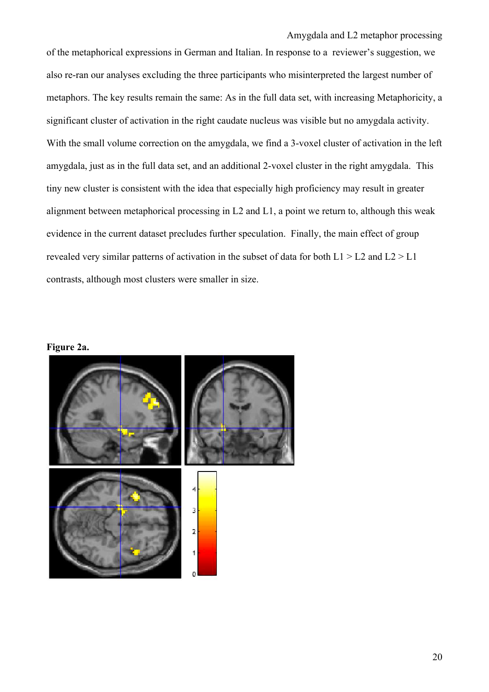Amygdala and L2 metaphor processing of the metaphorical expressions in German and Italian. In response to a reviewer's suggestion, we also re-ran our analyses excluding the three participants who misinterpreted the largest number of metaphors. The key results remain the same: As in the full data set, with increasing Metaphoricity, a significant cluster of activation in the right caudate nucleus was visible but no amygdala activity. With the small volume correction on the amygdala, we find a 3-voxel cluster of activation in the left amygdala, just as in the full data set, and an additional 2-voxel cluster in the right amygdala. This tiny new cluster is consistent with the idea that especially high proficiency may result in greater alignment between metaphorical processing in L2 and L1, a point we return to, although this weak evidence in the current dataset precludes further speculation. Finally, the main effect of group revealed very similar patterns of activation in the subset of data for both  $L1 > L2$  and  $L2 > L1$ contrasts, although most clusters were smaller in size.

**Figure 2a.**

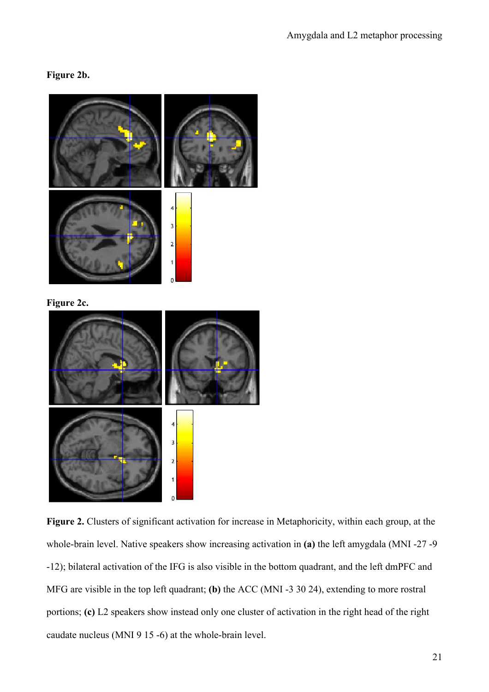## **Figure 2b.**



**Figure 2c.**



**Figure 2.** Clusters of significant activation for increase in Metaphoricity, within each group, at the whole-brain level. Native speakers show increasing activation in **(a)** the left amygdala (MNI -27 -9 -12); bilateral activation of the IFG is also visible in the bottom quadrant, and the left dmPFC and MFG are visible in the top left quadrant; **(b)** the ACC (MNI -3 30 24), extending to more rostral portions; **(c)** L2 speakers show instead only one cluster of activation in the right head of the right caudate nucleus (MNI 9 15 -6) at the whole-brain level.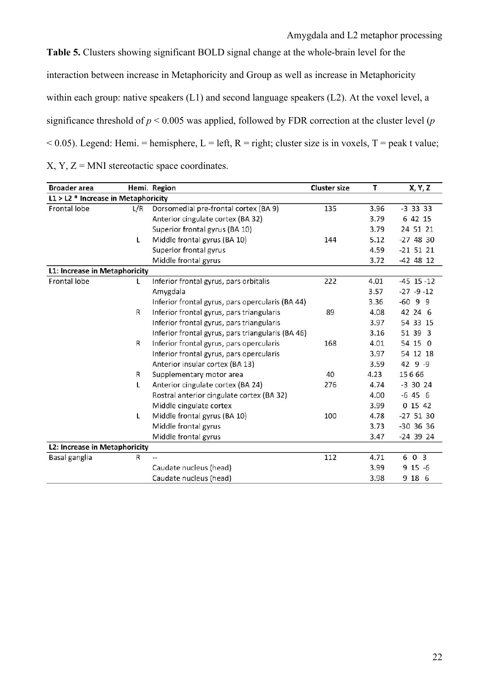**Table 5.** Clusters showing significant BOLD signal change at the whole-brain level for the interaction between increase in Metaphoricity and Group as well as increase in Metaphoricity within each group: native speakers (L1) and second language speakers (L2). At the voxel level, a significance threshold of *p* < 0.005 was applied, followed by FDR correction at the cluster level (*p*  $< 0.05$ ). Legend: Hemi. = hemisphere, L = left, R = right; cluster size is in voxels, T = peak t value;  $X, Y, Z = MNI$  stereotactic space coordinates.

| <b>Broader</b> area                   |     | Hemi. Region                                      | <b>Cluster size</b> | т    | X, Y, Z        |
|---------------------------------------|-----|---------------------------------------------------|---------------------|------|----------------|
| $L1 > L2$ * Increase in Metaphoricity |     |                                                   |                     |      |                |
| Frontal lobe                          | L/R | Dorsomedial pre-frontal cortex (BA 9)             | 135                 | 3.96 | $-3$ 33 33     |
|                                       |     | Anterior cingulate cortex (BA 32)                 |                     | 3.79 | 6 42 15        |
|                                       |     | Superior frontal gyrus (BA 10)                    |                     | 3.79 | 24 51 21       |
|                                       | L   | Middle frontal gyrus (BA 10)                      | 144                 | 5.12 | $-274830$      |
|                                       |     | Superior frontal gyrus                            |                     | 4.59 | $-21$ 51 21    |
|                                       |     | Middle frontal gyrus                              |                     | 3.72 | $-42$ 48 12    |
| L1: Increase in Metaphoricity         |     |                                                   |                     |      |                |
| Frontal lobe                          | L   | Inferior frontal gyrus, pars orbitalis            | 222                 | 4.01 | $-45$ 15 $-12$ |
|                                       |     | Amygdala                                          |                     | 3.57 | $-27 - 9 - 12$ |
|                                       |     | Inferior frontal gyrus, pars opercularis (BA 44)  |                     | 3.36 | $-6099$        |
|                                       | R   | Inferior frontal gyrus, pars triangularis         | 89                  | 4.08 | 42 24 6        |
|                                       |     | Inferior frontal gyrus, pars triangularis         |                     | 3.97 | 54 33 15       |
|                                       |     | Inferior frontal gyrus, pars triangularis (BA 46) |                     | 3.16 | 51 39 3        |
|                                       | R   | Inferior frontal gyrus, pars opercularis          | 168                 | 4.01 | 54 15 0        |
|                                       |     | Inferior frontal gyrus, pars opercularis          |                     | 3.97 | 54 12 18       |
|                                       |     | Anterior insular cortex (BA 13)                   |                     | 3.59 | $429 - 9$      |
|                                       | R   | Supplementary motor area                          | 40                  | 4.23 | 15666          |
|                                       | L   | Anterior cingulate cortex (BA 24)                 | 276                 | 4.74 | $-3$ 30 24     |
|                                       |     | Rostral anterior cingulate cortex (BA 32)         |                     | 4.00 | $-6456$        |
|                                       |     | Middle cingulate cortex                           |                     | 3.99 | 0 15 42        |
|                                       | L   | Middle frontal gyrus (BA 10)                      | 100                 | 4.78 | $-27$ 51 30    |
|                                       |     | Middle frontal gyrus                              |                     | 3.73 | $-30$ 36 36    |
|                                       |     | Middle frontal gyrus                              |                     | 3.47 | $-24$ 39 24    |
| L2: Increase in Metaphoricity         |     |                                                   |                     |      |                |
| Basal ganglia                         | R   |                                                   | 112                 | 4.71 | 6 0 3          |
|                                       |     | Caudate nucleus (head)                            |                     | 3.99 | $915 - 6$      |
|                                       |     | Caudate nucleus (head)                            |                     | 3.98 | 9 18 6         |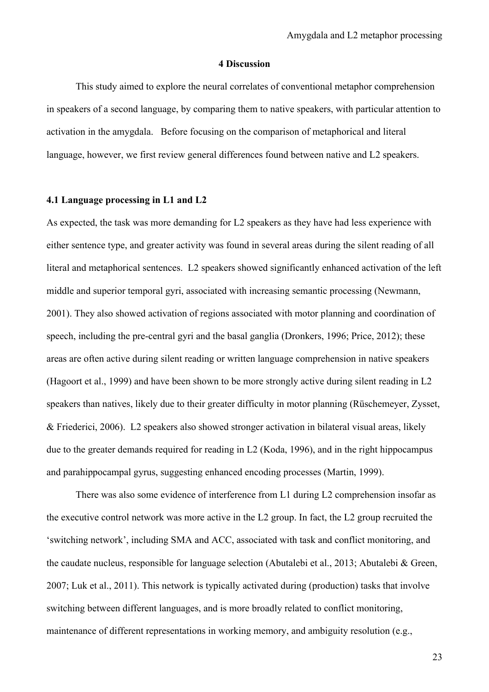### **4 Discussion**

This study aimed to explore the neural correlates of conventional metaphor comprehension in speakers of a second language, by comparing them to native speakers, with particular attention to activation in the amygdala. Before focusing on the comparison of metaphorical and literal language, however, we first review general differences found between native and L2 speakers.

# **4.1 Language processing in L1 and L2**

As expected, the task was more demanding for L2 speakers as they have had less experience with either sentence type, and greater activity was found in several areas during the silent reading of all literal and metaphorical sentences. L2 speakers showed significantly enhanced activation of the left middle and superior temporal gyri, associated with increasing semantic processing (Newmann, 2001). They also showed activation of regions associated with motor planning and coordination of speech, including the pre-central gyri and the basal ganglia (Dronkers, 1996; Price, 2012); these areas are often active during silent reading or written language comprehension in native speakers (Hagoort et al., 1999) and have been shown to be more strongly active during silent reading in L2 speakers than natives, likely due to their greater difficulty in motor planning (Rüschemeyer, Zysset, & Friederici, 2006). L2 speakers also showed stronger activation in bilateral visual areas, likely due to the greater demands required for reading in L2 (Koda, 1996), and in the right hippocampus and parahippocampal gyrus, suggesting enhanced encoding processes (Martin, 1999).

There was also some evidence of interference from L1 during L2 comprehension insofar as the executive control network was more active in the L2 group. In fact, the L2 group recruited the 'switching network', including SMA and ACC, associated with task and conflict monitoring, and the caudate nucleus, responsible for language selection (Abutalebi et al., 2013; Abutalebi & Green, 2007; Luk et al., 2011). This network is typically activated during (production) tasks that involve switching between different languages, and is more broadly related to conflict monitoring, maintenance of different representations in working memory, and ambiguity resolution (e.g.,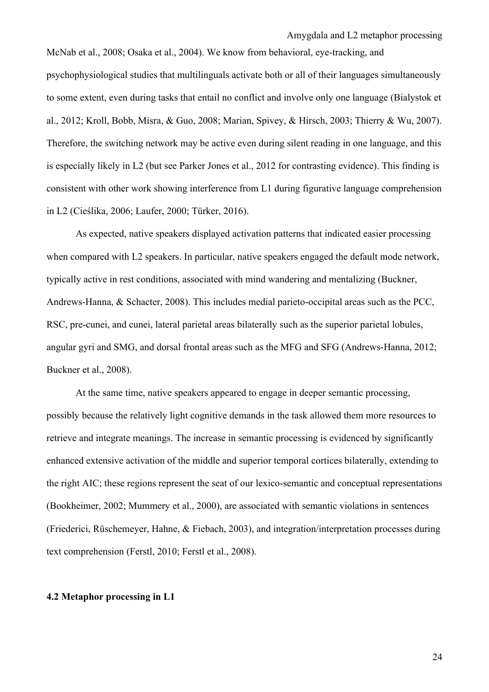McNab et al., 2008; Osaka et al., 2004). We know from behavioral, eye-tracking, and psychophysiological studies that multilinguals activate both or all of their languages simultaneously to some extent, even during tasks that entail no conflict and involve only one language (Bialystok et al., 2012; Kroll, Bobb, Misra, & Guo, 2008; Marian, Spivey, & Hirsch, 2003; Thierry & Wu, 2007). Therefore, the switching network may be active even during silent reading in one language, and this is especially likely in L2 (but see Parker Jones et al., 2012 for contrasting evidence). This finding is consistent with other work showing interference from L1 during figurative language comprehension in L2 (Cieślika, 2006; Laufer, 2000; Türker, 2016).

As expected, native speakers displayed activation patterns that indicated easier processing when compared with L2 speakers. In particular, native speakers engaged the default mode network, typically active in rest conditions, associated with mind wandering and mentalizing (Buckner, Andrews-Hanna, & Schacter, 2008). This includes medial parieto-occipital areas such as the PCC, RSC, pre-cunei, and cunei, lateral parietal areas bilaterally such as the superior parietal lobules, angular gyri and SMG, and dorsal frontal areas such as the MFG and SFG (Andrews-Hanna, 2012; Buckner et al., 2008).

At the same time, native speakers appeared to engage in deeper semantic processing, possibly because the relatively light cognitive demands in the task allowed them more resources to retrieve and integrate meanings. The increase in semantic processing is evidenced by significantly enhanced extensive activation of the middle and superior temporal cortices bilaterally, extending to the right AIC; these regions represent the seat of our lexico-semantic and conceptual representations (Bookheimer, 2002; Mummery et al., 2000), are associated with semantic violations in sentences (Friederici, Rüschemeyer, Hahne, & Fiebach, 2003), and integration/interpretation processes during text comprehension (Ferstl, 2010; Ferstl et al., 2008).

#### **4.2 Metaphor processing in L1**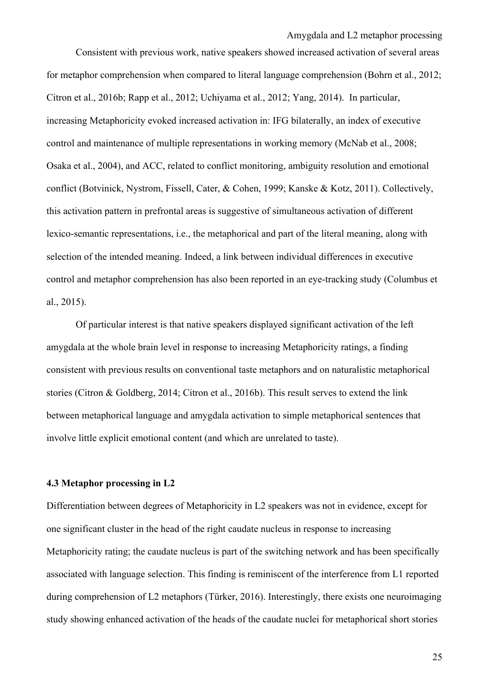Amygdala and L2 metaphor processing Consistent with previous work, native speakers showed increased activation of several areas for metaphor comprehension when compared to literal language comprehension (Bohrn et al., 2012; Citron et al., 2016b; Rapp et al., 2012; Uchiyama et al., 2012; Yang, 2014). In particular, increasing Metaphoricity evoked increased activation in: IFG bilaterally, an index of executive control and maintenance of multiple representations in working memory (McNab et al., 2008; Osaka et al., 2004), and ACC, related to conflict monitoring, ambiguity resolution and emotional conflict (Botvinick, Nystrom, Fissell, Cater, & Cohen, 1999; Kanske & Kotz, 2011). Collectively, this activation pattern in prefrontal areas is suggestive of simultaneous activation of different lexico-semantic representations, i.e., the metaphorical and part of the literal meaning, along with selection of the intended meaning. Indeed, a link between individual differences in executive control and metaphor comprehension has also been reported in an eye-tracking study (Columbus et al., 2015).

Of particular interest is that native speakers displayed significant activation of the left amygdala at the whole brain level in response to increasing Metaphoricity ratings, a finding consistent with previous results on conventional taste metaphors and on naturalistic metaphorical stories (Citron & Goldberg, 2014; Citron et al., 2016b). This result serves to extend the link between metaphorical language and amygdala activation to simple metaphorical sentences that involve little explicit emotional content (and which are unrelated to taste).

## **4.3 Metaphor processing in L2**

Differentiation between degrees of Metaphoricity in L2 speakers was not in evidence, except for one significant cluster in the head of the right caudate nucleus in response to increasing Metaphoricity rating; the caudate nucleus is part of the switching network and has been specifically associated with language selection. This finding is reminiscent of the interference from L1 reported during comprehension of L2 metaphors (Türker, 2016). Interestingly, there exists one neuroimaging study showing enhanced activation of the heads of the caudate nuclei for metaphorical short stories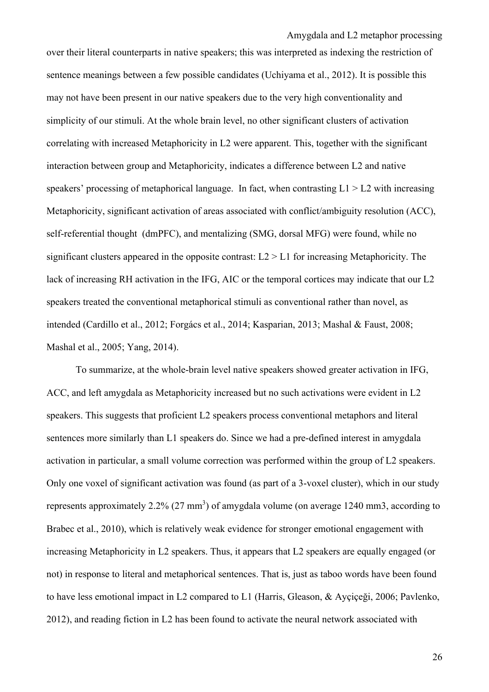over their literal counterparts in native speakers; this was interpreted as indexing the restriction of sentence meanings between a few possible candidates (Uchiyama et al., 2012). It is possible this may not have been present in our native speakers due to the very high conventionality and simplicity of our stimuli. At the whole brain level, no other significant clusters of activation correlating with increased Metaphoricity in L2 were apparent. This, together with the significant interaction between group and Metaphoricity, indicates a difference between L2 and native speakers' processing of metaphorical language. In fact, when contrasting  $L1 > L2$  with increasing Metaphoricity, significant activation of areas associated with conflict/ambiguity resolution (ACC), self-referential thought (dmPFC), and mentalizing (SMG, dorsal MFG) were found, while no significant clusters appeared in the opposite contrast: L2 > L1 for increasing Metaphoricity. The lack of increasing RH activation in the IFG, AIC or the temporal cortices may indicate that our L2 speakers treated the conventional metaphorical stimuli as conventional rather than novel, as intended (Cardillo et al., 2012; Forgács et al., 2014; Kasparian, 2013; Mashal & Faust, 2008; Mashal et al., 2005; Yang, 2014).

To summarize, at the whole-brain level native speakers showed greater activation in IFG, ACC, and left amygdala as Metaphoricity increased but no such activations were evident in L2 speakers. This suggests that proficient L2 speakers process conventional metaphors and literal sentences more similarly than L1 speakers do. Since we had a pre-defined interest in amygdala activation in particular, a small volume correction was performed within the group of L2 speakers. Only one voxel of significant activation was found (as part of a 3-voxel cluster), which in our study represents approximately 2.2% (27 mm<sup>3</sup>) of amygdala volume (on average 1240 mm3, according to Brabec et al., 2010), which is relatively weak evidence for stronger emotional engagement with increasing Metaphoricity in L2 speakers. Thus, it appears that L2 speakers are equally engaged (or not) in response to literal and metaphorical sentences. That is, just as taboo words have been found to have less emotional impact in L2 compared to L1 (Harris, Gleason, & Ayçiçeği, 2006; Pavlenko, 2012), and reading fiction in L2 has been found to activate the neural network associated with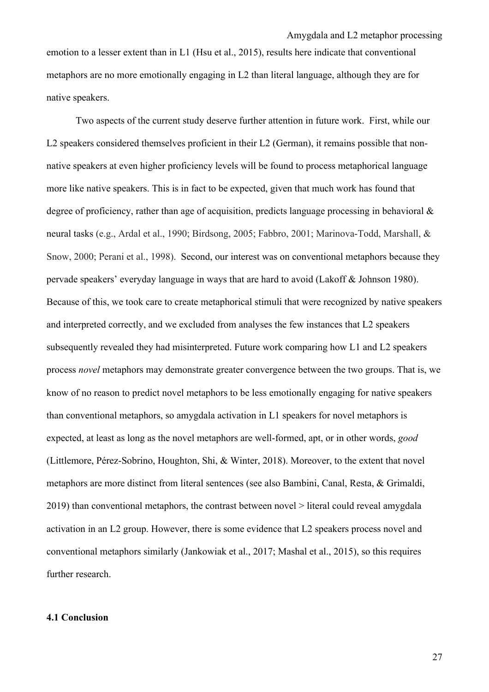emotion to a lesser extent than in L1 (Hsu et al., 2015), results here indicate that conventional metaphors are no more emotionally engaging in L2 than literal language, although they are for native speakers.

Two aspects of the current study deserve further attention in future work. First, while our L2 speakers considered themselves proficient in their L2 (German), it remains possible that nonnative speakers at even higher proficiency levels will be found to process metaphorical language more like native speakers. This is in fact to be expected, given that much work has found that degree of proficiency, rather than age of acquisition, predicts language processing in behavioral  $\&$ neural tasks (e.g., Ardal et al., 1990; Birdsong, 2005; Fabbro, 2001; Marinova-Todd, Marshall, & Snow, 2000; Perani et al., 1998). Second, our interest was on conventional metaphors because they pervade speakers' everyday language in ways that are hard to avoid (Lakoff & Johnson 1980). Because of this, we took care to create metaphorical stimuli that were recognized by native speakers and interpreted correctly, and we excluded from analyses the few instances that L2 speakers subsequently revealed they had misinterpreted. Future work comparing how L1 and L2 speakers process *novel* metaphors may demonstrate greater convergence between the two groups. That is, we know of no reason to predict novel metaphors to be less emotionally engaging for native speakers than conventional metaphors, so amygdala activation in L1 speakers for novel metaphors is expected, at least as long as the novel metaphors are well-formed, apt, or in other words, *good* (Littlemore, Pérez-Sobrino, Houghton, Shi, & Winter, 2018). Moreover, to the extent that novel metaphors are more distinct from literal sentences (see also Bambini, Canal, Resta, & Grimaldi, 2019) than conventional metaphors, the contrast between novel > literal could reveal amygdala activation in an L2 group. However, there is some evidence that L2 speakers process novel and conventional metaphors similarly (Jankowiak et al., 2017; Mashal et al., 2015), so this requires further research.

## **4.1 Conclusion**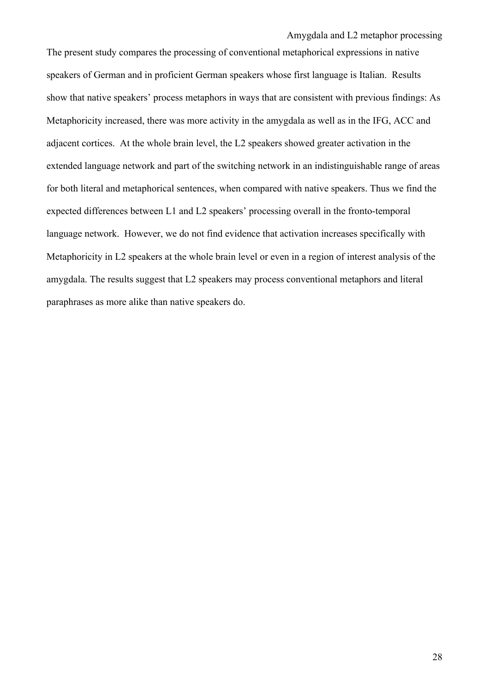The present study compares the processing of conventional metaphorical expressions in native speakers of German and in proficient German speakers whose first language is Italian. Results show that native speakers' process metaphors in ways that are consistent with previous findings: As Metaphoricity increased, there was more activity in the amygdala as well as in the IFG, ACC and adjacent cortices. At the whole brain level, the L2 speakers showed greater activation in the extended language network and part of the switching network in an indistinguishable range of areas for both literal and metaphorical sentences, when compared with native speakers. Thus we find the expected differences between L1 and L2 speakers' processing overall in the fronto-temporal language network. However, we do not find evidence that activation increases specifically with Metaphoricity in L2 speakers at the whole brain level or even in a region of interest analysis of the amygdala. The results suggest that L2 speakers may process conventional metaphors and literal paraphrases as more alike than native speakers do.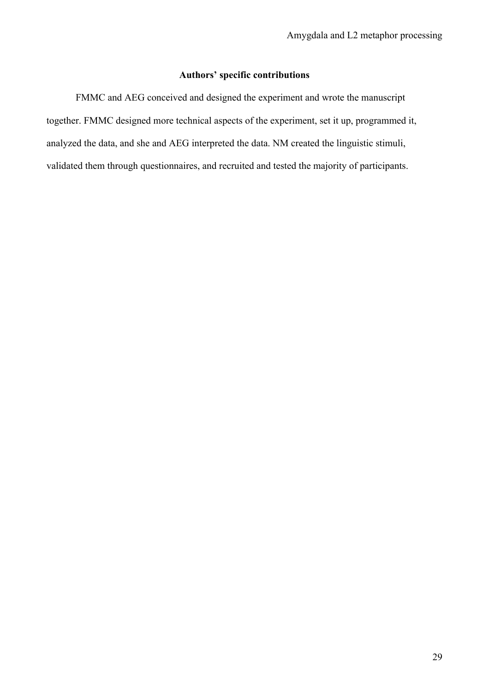# **Authors' specific contributions**

FMMC and AEG conceived and designed the experiment and wrote the manuscript together. FMMC designed more technical aspects of the experiment, set it up, programmed it, analyzed the data, and she and AEG interpreted the data. NM created the linguistic stimuli, validated them through questionnaires, and recruited and tested the majority of participants.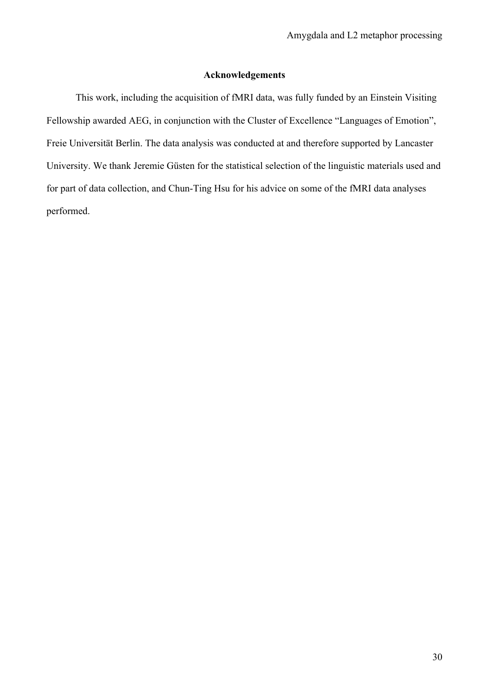## **Acknowledgements**

This work, including the acquisition of fMRI data, was fully funded by an Einstein Visiting Fellowship awarded AEG, in conjunction with the Cluster of Excellence "Languages of Emotion", Freie Universität Berlin. The data analysis was conducted at and therefore supported by Lancaster University. We thank Jeremie Güsten for the statistical selection of the linguistic materials used and for part of data collection, and Chun-Ting Hsu for his advice on some of the fMRI data analyses performed.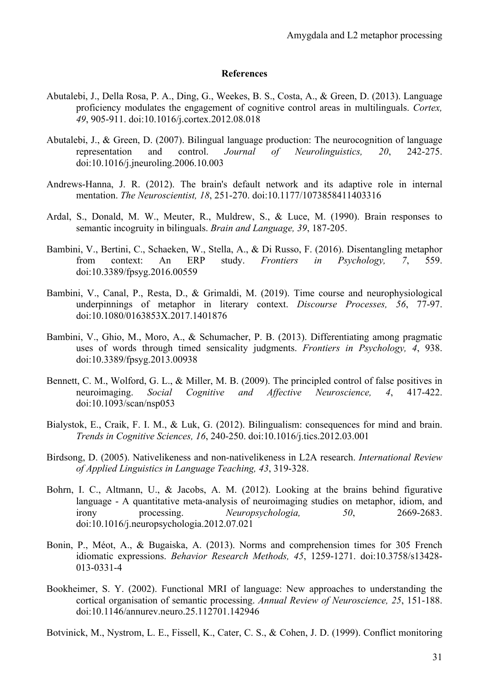#### **References**

- Abutalebi, J., Della Rosa, P. A., Ding, G., Weekes, B. S., Costa, A., & Green, D. (2013). Language proficiency modulates the engagement of cognitive control areas in multilinguals. *Cortex, 49*, 905-911. doi:10.1016/j.cortex.2012.08.018
- Abutalebi, J., & Green, D. (2007). Bilingual language production: The neurocognition of language representation and control. *Journal of Neurolinguistics, 20*, 242-275. doi:10.1016/j.jneuroling.2006.10.003
- Andrews-Hanna, J. R. (2012). The brain's default network and its adaptive role in internal mentation. *The Neuroscientist, 18*, 251-270. doi:10.1177/1073858411403316
- Ardal, S., Donald, M. W., Meuter, R., Muldrew, S., & Luce, M. (1990). Brain responses to semantic incogruity in bilinguals. *Brain and Language, 39*, 187-205.
- Bambini, V., Bertini, C., Schaeken, W., Stella, A., & Di Russo, F. (2016). Disentangling metaphor from context: An ERP study. *Frontiers in Psychology, 7*, 559. doi:10.3389/fpsyg.2016.00559
- Bambini, V., Canal, P., Resta, D., & Grimaldi, M. (2019). Time course and neurophysiological underpinnings of metaphor in literary context. *Discourse Processes, 56*, 77-97. doi:10.1080/0163853X.2017.1401876
- Bambini, V., Ghio, M., Moro, A., & Schumacher, P. B. (2013). Differentiating among pragmatic uses of words through timed sensicality judgments. *Frontiers in Psychology, 4*, 938. doi:10.3389/fpsyg.2013.00938
- Bennett, C. M., Wolford, G. L., & Miller, M. B. (2009). The principled control of false positives in neuroimaging. *Social Cognitive and Affective Neuroscience, 4*, 417-422. doi:10.1093/scan/nsp053
- Bialystok, E., Craik, F. I. M., & Luk, G. (2012). Bilingualism: consequences for mind and brain. *Trends in Cognitive Sciences, 16*, 240-250. doi:10.1016/j.tics.2012.03.001
- Birdsong, D. (2005). Nativelikeness and non-nativelikeness in L2A research. *International Review of Applied Linguistics in Language Teaching, 43*, 319-328.
- Bohrn, I. C., Altmann, U., & Jacobs, A. M. (2012). Looking at the brains behind figurative language - A quantitative meta-analysis of neuroimaging studies on metaphor, idiom, and irony processing. *Neuropsychologia, 50*, 2669-2683. doi:10.1016/j.neuropsychologia.2012.07.021
- Bonin, P., Méot, A., & Bugaiska, A. (2013). Norms and comprehension times for 305 French idiomatic expressions. *Behavior Research Methods, 45*, 1259-1271. doi:10.3758/s13428- 013-0331-4
- Bookheimer, S. Y. (2002). Functional MRI of language: New approaches to understanding the cortical organisation of semantic processing. *Annual Review of Neuroscience, 25*, 151-188. doi:10.1146/annurev.neuro.25.112701.142946

Botvinick, M., Nystrom, L. E., Fissell, K., Cater, C. S., & Cohen, J. D. (1999). Conflict monitoring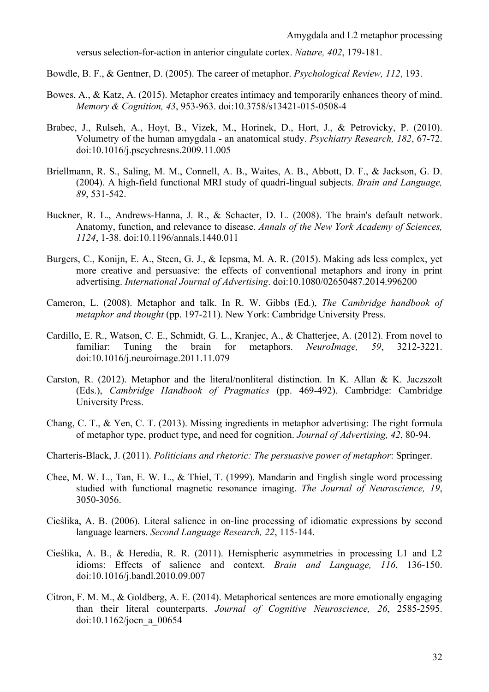versus selection-for-action in anterior cingulate cortex. *Nature, 402*, 179-181.

Bowdle, B. F., & Gentner, D. (2005). The career of metaphor. *Psychological Review, 112*, 193.

- Bowes, A., & Katz, A. (2015). Metaphor creates intimacy and temporarily enhances theory of mind. *Memory & Cognition, 43*, 953-963. doi:10.3758/s13421-015-0508-4
- Brabec, J., Rulseh, A., Hoyt, B., Vizek, M., Horinek, D., Hort, J., & Petrovicky, P. (2010). Volumetry of the human amygdala - an anatomical study. *Psychiatry Research, 182*, 67-72. doi:10.1016/j.pscychresns.2009.11.005
- Briellmann, R. S., Saling, M. M., Connell, A. B., Waites, A. B., Abbott, D. F., & Jackson, G. D. (2004). A high-field functional MRI study of quadri-lingual subjects. *Brain and Language, 89*, 531-542.
- Buckner, R. L., Andrews-Hanna, J. R., & Schacter, D. L. (2008). The brain's default network. Anatomy, function, and relevance to disease. *Annals of the New York Academy of Sciences, 1124*, 1-38. doi:10.1196/annals.1440.011
- Burgers, C., Konijn, E. A., Steen, G. J., & Iepsma, M. A. R. (2015). Making ads less complex, yet more creative and persuasive: the effects of conventional metaphors and irony in print advertising. *International Journal of Advertising*. doi:10.1080/02650487.2014.996200
- Cameron, L. (2008). Metaphor and talk. In R. W. Gibbs (Ed.), *The Cambridge handbook of metaphor and thought* (pp. 197-211). New York: Cambridge University Press.
- Cardillo, E. R., Watson, C. E., Schmidt, G. L., Kranjec, A., & Chatterjee, A. (2012). From novel to familiar: Tuning the brain for metaphors. *NeuroImage, 59*, 3212-3221. doi:10.1016/j.neuroimage.2011.11.079
- Carston, R. (2012). Metaphor and the literal/nonliteral distinction. In K. Allan & K. Jaczszolt (Eds.), *Cambridge Handbook of Pragmatics* (pp. 469-492). Cambridge: Cambridge University Press.
- Chang, C. T., & Yen, C. T. (2013). Missing ingredients in metaphor advertising: The right formula of metaphor type, product type, and need for cognition. *Journal of Advertising, 42*, 80-94.
- Charteris-Black, J. (2011). *Politicians and rhetoric: The persuasive power of metaphor*: Springer.
- Chee, M. W. L., Tan, E. W. L., & Thiel, T. (1999). Mandarin and English single word processing studied with functional magnetic resonance imaging. *The Journal of Neuroscience, 19*, 3050-3056.
- Cieślika, A. B. (2006). Literal salience in on-line processing of idiomatic expressions by second language learners. *Second Language Research, 22*, 115-144.
- Cieślika, A. B., & Heredia, R. R. (2011). Hemispheric asymmetries in processing L1 and L2 idioms: Effects of salience and context. *Brain and Language, 116*, 136-150. doi:10.1016/j.bandl.2010.09.007
- Citron, F. M. M., & Goldberg, A. E. (2014). Metaphorical sentences are more emotionally engaging than their literal counterparts. *Journal of Cognitive Neuroscience, 26*, 2585-2595. doi:10.1162/jocn\_a\_00654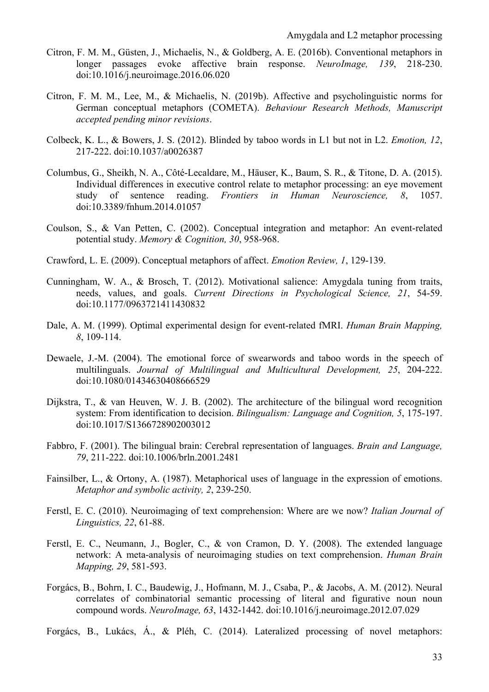- Citron, F. M. M., Güsten, J., Michaelis, N., & Goldberg, A. E. (2016b). Conventional metaphors in longer passages evoke affective brain response. *NeuroImage, 139*, 218-230. doi:10.1016/j.neuroimage.2016.06.020
- Citron, F. M. M., Lee, M., & Michaelis, N. (2019b). Affective and psycholinguistic norms for German conceptual metaphors (COMETA). *Behaviour Research Methods, Manuscript accepted pending minor revisions*.
- Colbeck, K. L., & Bowers, J. S. (2012). Blinded by taboo words in L1 but not in L2. *Emotion, 12*, 217-222. doi:10.1037/a0026387
- Columbus, G., Sheikh, N. A., Côté-Lecaldare, M., Häuser, K., Baum, S. R., & Titone, D. A. (2015). Individual differences in executive control relate to metaphor processing: an eye movement study of sentence reading. *Frontiers in Human Neuroscience, 8*, 1057. doi:10.3389/fnhum.2014.01057
- Coulson, S., & Van Petten, C. (2002). Conceptual integration and metaphor: An event-related potential study. *Memory & Cognition, 30*, 958-968.
- Crawford, L. E. (2009). Conceptual metaphors of affect. *Emotion Review, 1*, 129-139.
- Cunningham, W. A., & Brosch, T. (2012). Motivational salience: Amygdala tuning from traits, needs, values, and goals. *Current Directions in Psychological Science, 21*, 54-59. doi:10.1177/0963721411430832
- Dale, A. M. (1999). Optimal experimental design for event-related fMRI. *Human Brain Mapping, 8*, 109-114.
- Dewaele, J.-M. (2004). The emotional force of swearwords and taboo words in the speech of multilinguals. *Journal of Multilingual and Multicultural Development, 25*, 204-222. doi:10.1080/01434630408666529
- Dijkstra, T., & van Heuven, W. J. B. (2002). The architecture of the bilingual word recognition system: From identification to decision. *Bilingualism: Language and Cognition, 5*, 175-197. doi:10.1017/S1366728902003012
- Fabbro, F. (2001). The bilingual brain: Cerebral representation of languages. *Brain and Language, 79*, 211-222. doi:10.1006/brln.2001.2481
- Fainsilber, L., & Ortony, A. (1987). Metaphorical uses of language in the expression of emotions. *Metaphor and symbolic activity, 2*, 239-250.
- Ferstl, E. C. (2010). Neuroimaging of text comprehension: Where are we now? *Italian Journal of Linguistics, 22*, 61-88.
- Ferstl, E. C., Neumann, J., Bogler, C., & von Cramon, D. Y. (2008). The extended language network: A meta-analysis of neuroimaging studies on text comprehension. *Human Brain Mapping, 29*, 581-593.
- Forgács, B., Bohrn, I. C., Baudewig, J., Hofmann, M. J., Csaba, P., & Jacobs, A. M. (2012). Neural correlates of combinatorial semantic processing of literal and figurative noun noun compound words. *NeuroImage, 63*, 1432-1442. doi:10.1016/j.neuroimage.2012.07.029
- Forgács, B., Lukács, Á., & Pléh, C. (2014). Lateralized processing of novel metaphors: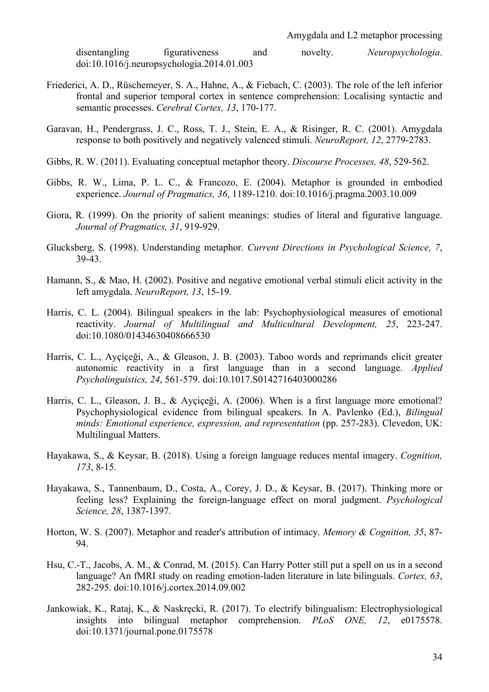disentangling figurativeness and novelty. *Neuropsychologia*. doi:10.1016/j.neuropsychologia.2014.01.003

- Friederici, A. D., Rüschemeyer, S. A., Hahne, A., & Fiebach, C. (2003). The role of the left inferior frontal and superior temporal cortex in sentence comprehension: Localising syntactic and semantic processes. *Cerebral Cortex, 13*, 170-177.
- Garavan, H., Pendergrass, J. C., Ross, T. J., Stein, E. A., & Risinger, R. C. (2001). Amygdala response to both positively and negatively valenced stimuli. *NeuroReport, 12*, 2779-2783.
- Gibbs, R. W. (2011). Evaluating conceptual metaphor theory. *Discourse Processes, 48*, 529-562.
- Gibbs, R. W., Lima, P. L. C., & Francozo, E. (2004). Metaphor is grounded in embodied experience. *Journal of Pragmatics, 36*, 1189-1210. doi:10.1016/j.pragma.2003.10.009
- Giora, R. (1999). On the priority of salient meanings: studies of literal and figurative language. *Journal of Pragmatics, 31*, 919-929.
- Glucksberg, S. (1998). Understanding metaphor. *Current Directions in Psychological Science, 7*, 39-43.
- Hamann, S., & Mao, H. (2002). Positive and negative emotional verbal stimuli elicit activity in the left amygdala. *NeuroReport, 13*, 15-19.
- Harris, C. L. (2004). Bilingual speakers in the lab: Psychophysiological measures of emotional reactivity. *Journal of Multilingual and Multicultural Development, 25*, 223-247. doi:10.1080/01434630408666530
- Harris, C. L., Ayçiçeği, A., & Gleason, J. B. (2003). Taboo words and reprimands elicit greater autonomic reactivity in a first language than in a second language. *Applied Psycholinguistics, 24*, 561-579. doi:10.1017.S0142716403000286
- Harris, C. L., Gleason, J. B., & Ayçiçeği, A. (2006). When is a first language more emotional? Psychophysiological evidence from bilingual speakers. In A. Pavlenko (Ed.), *Bilingual minds: Emotional experience, expression, and representation* (pp. 257-283). Clevedon, UK: Multilingual Matters.
- Hayakawa, S., & Keysar, B. (2018). Using a foreign language reduces mental imagery. *Cognition, 173*, 8-15.
- Hayakawa, S., Tannenbaum, D., Costa, A., Corey, J. D., & Keysar, B. (2017). Thinking more or feeling less? Explaining the foreign-language effect on moral judgment. *Psychological Science, 28*, 1387-1397.
- Horton, W. S. (2007). Metaphor and reader's attribution of intimacy. *Memory & Cognition, 35*, 87- 94.
- Hsu, C.-T., Jacobs, A. M., & Conrad, M. (2015). Can Harry Potter still put a spell on us in a second language? An fMRI study on reading emotion-laden literature in late bilinguals. *Cortex, 63*, 282-295. doi:10.1016/j.cortex.2014.09.002
- Jankowiak, K., Rataj, K., & Naskręcki, R. (2017). To electrify bilingualism: Electrophysiological insights into bilingual metaphor comprehension. *PLoS ONE, 12*, e0175578. doi:10.1371/journal.pone.0175578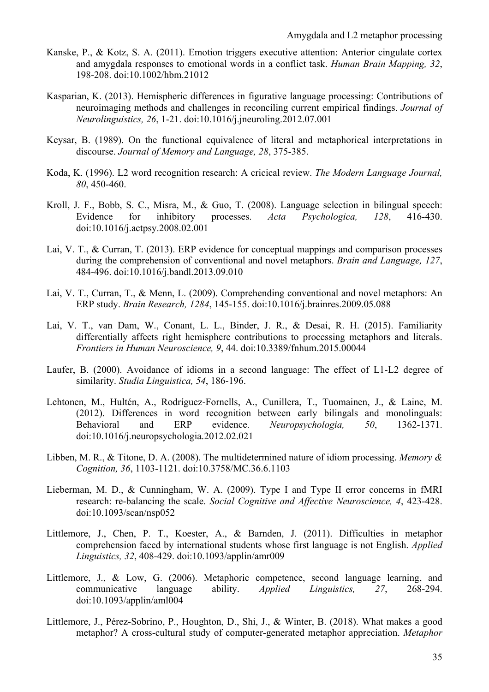- Kanske, P., & Kotz, S. A. (2011). Emotion triggers executive attention: Anterior cingulate cortex and amygdala responses to emotional words in a conflict task. *Human Brain Mapping, 32*, 198-208. doi:10.1002/hbm.21012
- Kasparian, K. (2013). Hemispheric differences in figurative language processing: Contributions of neuroimaging methods and challenges in reconciling current empirical findings. *Journal of Neurolinguistics, 26*, 1-21. doi:10.1016/j.jneuroling.2012.07.001
- Keysar, B. (1989). On the functional equivalence of literal and metaphorical interpretations in discourse. *Journal of Memory and Language, 28*, 375-385.
- Koda, K. (1996). L2 word recognition research: A cricical review. *The Modern Language Journal, 80*, 450-460.
- Kroll, J. F., Bobb, S. C., Misra, M., & Guo, T. (2008). Language selection in bilingual speech: Evidence for inhibitory processes. *Acta Psychologica, 128*, 416-430. doi:10.1016/j.actpsy.2008.02.001
- Lai, V. T., & Curran, T. (2013). ERP evidence for conceptual mappings and comparison processes during the comprehension of conventional and novel metaphors. *Brain and Language, 127*, 484-496. doi:10.1016/j.bandl.2013.09.010
- Lai, V. T., Curran, T., & Menn, L. (2009). Comprehending conventional and novel metaphors: An ERP study. *Brain Research, 1284*, 145-155. doi:10.1016/j.brainres.2009.05.088
- Lai, V. T., van Dam, W., Conant, L. L., Binder, J. R., & Desai, R. H. (2015). Familiarity differentially affects right hemisphere contributions to processing metaphors and literals. *Frontiers in Human Neuroscience, 9*, 44. doi:10.3389/fnhum.2015.00044
- Laufer, B. (2000). Avoidance of idioms in a second language: The effect of L1-L2 degree of similarity. *Studia Linguistica, 54*, 186-196.
- Lehtonen, M., Hultén, A., Rodríguez-Fornells, A., Cunillera, T., Tuomainen, J., & Laine, M. (2012). Differences in word recognition between early bilingals and monolinguals: Behavioral and ERP evidence. *Neuropsychologia, 50*, 1362-1371. doi:10.1016/j.neuropsychologia.2012.02.021
- Libben, M. R., & Titone, D. A. (2008). The multidetermined nature of idiom processing. *Memory & Cognition, 36*, 1103-1121. doi:10.3758/MC.36.6.1103
- Lieberman, M. D., & Cunningham, W. A. (2009). Type I and Type II error concerns in fMRI research: re-balancing the scale. *Social Cognitive and Affective Neuroscience, 4*, 423-428. doi:10.1093/scan/nsp052
- Littlemore, J., Chen, P. T., Koester, A., & Barnden, J. (2011). Difficulties in metaphor comprehension faced by international students whose first language is not English. *Applied Linguistics, 32*, 408-429. doi:10.1093/applin/amr009
- Littlemore, J., & Low, G. (2006). Metaphoric competence, second language learning, and communicative language ability. *Applied Linguistics, 27*, 268-294. doi:10.1093/applin/aml004
- Littlemore, J., Pérez-Sobrino, P., Houghton, D., Shi, J., & Winter, B. (2018). What makes a good metaphor? A cross-cultural study of computer-generated metaphor appreciation. *Metaphor*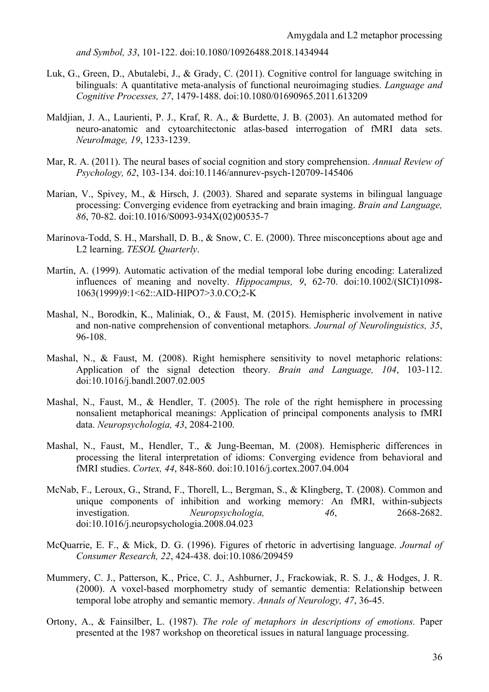*and Symbol, 33*, 101-122. doi:10.1080/10926488.2018.1434944

- Luk, G., Green, D., Abutalebi, J., & Grady, C. (2011). Cognitive control for language switching in bilinguals: A quantitative meta-analysis of functional neuroimaging studies. *Language and Cognitive Processes, 27*, 1479-1488. doi:10.1080/01690965.2011.613209
- Maldjian, J. A., Laurienti, P. J., Kraf, R. A., & Burdette, J. B. (2003). An automated method for neuro-anatomic and cytoarchitectonic atlas-based interrogation of fMRI data sets. *NeuroImage, 19*, 1233-1239.
- Mar, R. A. (2011). The neural bases of social cognition and story comprehension. *Annual Review of Psychology, 62*, 103-134. doi:10.1146/annurev-psych-120709-145406
- Marian, V., Spivey, M., & Hirsch, J. (2003). Shared and separate systems in bilingual language processing: Converging evidence from eyetracking and brain imaging. *Brain and Language, 86*, 70-82. doi:10.1016/S0093-934X(02)00535-7
- Marinova-Todd, S. H., Marshall, D. B., & Snow, C. E. (2000). Three misconceptions about age and L2 learning. *TESOL Quarterly*.
- Martin, A. (1999). Automatic activation of the medial temporal lobe during encoding: Lateralized influences of meaning and novelty. *Hippocampus, 9*, 62-70. doi:10.1002/(SICI)1098- 1063(1999)9:1<62::AID-HIPO7>3.0.CO;2-K
- Mashal, N., Borodkin, K., Maliniak, O., & Faust, M. (2015). Hemispheric involvement in native and non-native comprehension of conventional metaphors. *Journal of Neurolinguistics, 35*, 96-108.
- Mashal, N., & Faust, M. (2008). Right hemisphere sensitivity to novel metaphoric relations: Application of the signal detection theory. *Brain and Language, 104*, 103-112. doi:10.1016/j.bandl.2007.02.005
- Mashal, N., Faust, M., & Hendler, T. (2005). The role of the right hemisphere in processing nonsalient metaphorical meanings: Application of principal components analysis to fMRI data. *Neuropsychologia, 43*, 2084-2100.
- Mashal, N., Faust, M., Hendler, T., & Jung-Beeman, M. (2008). Hemispheric differences in processing the literal interpretation of idioms: Converging evidence from behavioral and fMRI studies. *Cortex, 44*, 848-860. doi:10.1016/j.cortex.2007.04.004
- McNab, F., Leroux, G., Strand, F., Thorell, L., Bergman, S., & Klingberg, T. (2008). Common and unique components of inhibition and working memory: An fMRI, within-subjects investigation. *Neuropsychologia, 46*, 2668-2682. doi:10.1016/j.neuropsychologia.2008.04.023
- McQuarrie, E. F., & Mick, D. G. (1996). Figures of rhetoric in advertising language. *Journal of Consumer Research, 22*, 424-438. doi:10.1086/209459
- Mummery, C. J., Patterson, K., Price, C. J., Ashburner, J., Frackowiak, R. S. J., & Hodges, J. R. (2000). A voxel-based morphometry study of semantic dementia: Relationship between temporal lobe atrophy and semantic memory. *Annals of Neurology, 47*, 36-45.
- Ortony, A., & Fainsilber, L. (1987). *The role of metaphors in descriptions of emotions.* Paper presented at the 1987 workshop on theoretical issues in natural language processing.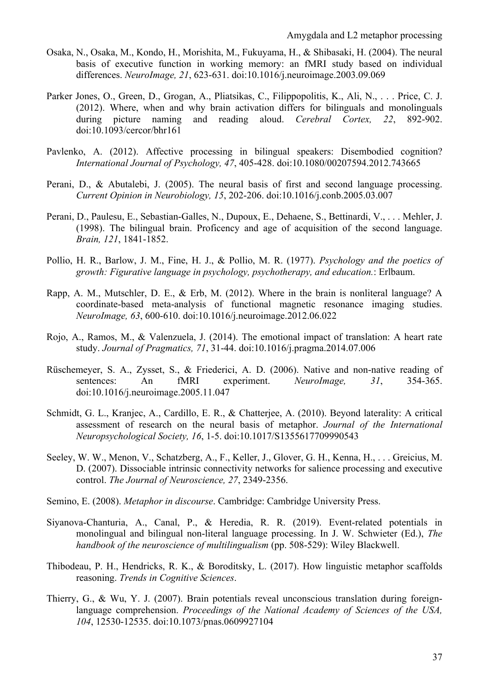- Osaka, N., Osaka, M., Kondo, H., Morishita, M., Fukuyama, H., & Shibasaki, H. (2004). The neural basis of executive function in working memory: an fMRI study based on individual differences. *NeuroImage, 21*, 623-631. doi:10.1016/j.neuroimage.2003.09.069
- Parker Jones, O., Green, D., Grogan, A., Pliatsikas, C., Filippopolitis, K., Ali, N., . . . Price, C. J. (2012). Where, when and why brain activation differs for bilinguals and monolinguals during picture naming and reading aloud. *Cerebral Cortex, 22*, 892-902. doi:10.1093/cercor/bhr161
- Pavlenko, A. (2012). Affective processing in bilingual speakers: Disembodied cognition? *International Journal of Psychology, 47*, 405-428. doi:10.1080/00207594.2012.743665
- Perani, D., & Abutalebi, J. (2005). The neural basis of first and second language processing. *Current Opinion in Neurobiology, 15*, 202-206. doi:10.1016/j.conb.2005.03.007
- Perani, D., Paulesu, E., Sebastian-Galles, N., Dupoux, E., Dehaene, S., Bettinardi, V., . . . Mehler, J. (1998). The bilingual brain. Proficency and age of acquisition of the second language. *Brain, 121*, 1841-1852.
- Pollio, H. R., Barlow, J. M., Fine, H. J., & Pollio, M. R. (1977). *Psychology and the poetics of growth: Figurative language in psychology, psychotherapy, and education.*: Erlbaum.
- Rapp, A. M., Mutschler, D. E., & Erb, M. (2012). Where in the brain is nonliteral language? A coordinate-based meta-analysis of functional magnetic resonance imaging studies. *NeuroImage, 63*, 600-610. doi:10.1016/j.neuroimage.2012.06.022
- Rojo, A., Ramos, M., & Valenzuela, J. (2014). The emotional impact of translation: A heart rate study. *Journal of Pragmatics, 71*, 31-44. doi:10.1016/j.pragma.2014.07.006
- Rüschemeyer, S. A., Zysset, S., & Friederici, A. D. (2006). Native and non-native reading of sentences: An fMRI experiment. *NeuroImage*, 31, 354-365. doi:10.1016/j.neuroimage.2005.11.047
- Schmidt, G. L., Kranjec, A., Cardillo, E. R., & Chatterjee, A. (2010). Beyond laterality: A critical assessment of research on the neural basis of metaphor. *Journal of the International Neuropsychological Society, 16*, 1-5. doi:10.1017/S1355617709990543
- Seeley, W. W., Menon, V., Schatzberg, A., F., Keller, J., Glover, G. H., Kenna, H., . . . Greicius, M. D. (2007). Dissociable intrinsic connectivity networks for salience processing and executive control. *The Journal of Neuroscience, 27*, 2349-2356.
- Semino, E. (2008). *Metaphor in discourse*. Cambridge: Cambridge University Press.
- Siyanova-Chanturia, A., Canal, P., & Heredia, R. R. (2019). Event-related potentials in monolingual and bilingual non-literal language processing. In J. W. Schwieter (Ed.), *The handbook of the neuroscience of multilingualism* (pp. 508-529): Wiley Blackwell.
- Thibodeau, P. H., Hendricks, R. K., & Boroditsky, L. (2017). How linguistic metaphor scaffolds reasoning. *Trends in Cognitive Sciences*.
- Thierry, G., & Wu, Y. J. (2007). Brain potentials reveal unconscious translation during foreignlanguage comprehension. *Proceedings of the National Academy of Sciences of the USA, 104*, 12530-12535. doi:10.1073/pnas.0609927104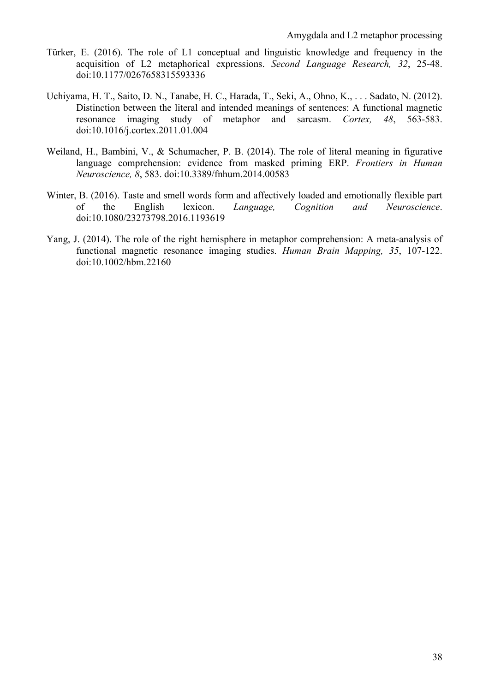- Türker, E. (2016). The role of L1 conceptual and linguistic knowledge and frequency in the acquisition of L2 metaphorical expressions. *Second Language Research, 32*, 25-48. doi:10.1177/0267658315593336
- Uchiyama, H. T., Saito, D. N., Tanabe, H. C., Harada, T., Seki, A., Ohno, K., . . . Sadato, N. (2012). Distinction between the literal and intended meanings of sentences: A functional magnetic resonance imaging study of metaphor and sarcasm. *Cortex, 48*, 563-583. doi:10.1016/j.cortex.2011.01.004
- Weiland, H., Bambini, V., & Schumacher, P. B. (2014). The role of literal meaning in figurative language comprehension: evidence from masked priming ERP. *Frontiers in Human Neuroscience, 8*, 583. doi:10.3389/fnhum.2014.00583
- Winter, B. (2016). Taste and smell words form and affectively loaded and emotionally flexible part of the English lexicon. *Language, Cognition and Neuroscience*. doi:10.1080/23273798.2016.1193619
- Yang, J. (2014). The role of the right hemisphere in metaphor comprehension: A meta-analysis of functional magnetic resonance imaging studies. *Human Brain Mapping, 35*, 107-122. doi:10.1002/hbm.22160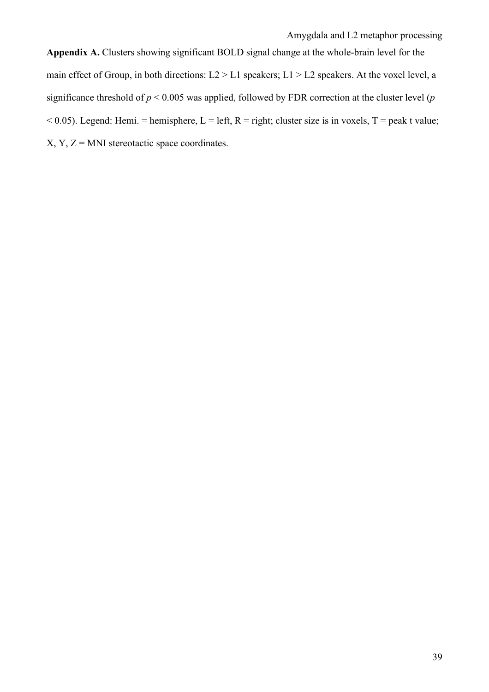**Appendix A.** Clusters showing significant BOLD signal change at the whole-brain level for the main effect of Group, in both directions: L2 > L1 speakers; L1 > L2 speakers. At the voxel level, a significance threshold of *p* < 0.005 was applied, followed by FDR correction at the cluster level (*p*  $< 0.05$ ). Legend: Hemi. = hemisphere, L = left, R = right; cluster size is in voxels, T = peak t value;  $X, Y, Z = MNI$  stereotactic space coordinates.